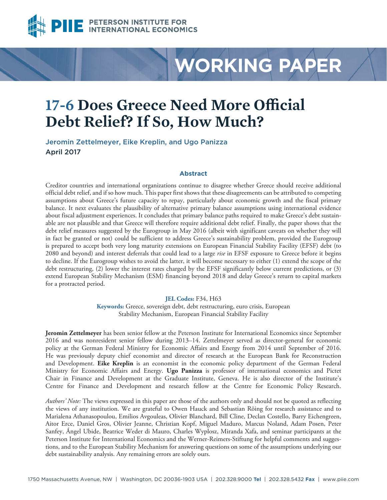

# **WORKING PAPER**

# **17-6 Does Greece Need More Official Debt Relief? If So, How Much?**

Jeromin Zettelmeyer, Eike Kreplin, and Ugo Panizza April 2017

# **Abstract**

Creditor countries and international organizations continue to disagree whether Greece should receive additional official debt relief, and if so how much. This paper first shows that these disagreements can be attributed to competing assumptions about Greece's future capacity to repay, particularly about economic growth and the fiscal primary balance. It next evaluates the plausibility of alternative primary balance assumptions using international evidence about fiscal adjustment experiences. It concludes that primary balance paths required to make Greece's debt sustainable are not plausible and that Greece will therefore require additional debt relief. Finally, the paper shows that the debt relief measures suggested by the Eurogroup in May 2016 (albeit with significant caveats on whether they will in fact be granted or not) could be sufficient to address Greece's sustainability problem, provided the Eurogroup is prepared to accept both very long maturity extensions on European Financial Stability Facility (EFSF) debt (to 2080 and beyond) and interest deferrals that could lead to a large *rise* in EFSF exposure to Greece before it begins to decline. If the Eurogroup wishes to avoid the latter, it will become necessary to either (1) extend the scope of the debt restructuring, (2) lower the interest rates charged by the EFSF significantly below current predictions, or (3) extend European Stability Mechanism (ESM) financing beyond 2018 and delay Greece's return to capital markets for a protracted period.

#### **JEL Codes:** F34, H63

**Keywords:** Greece, sovereign debt, debt restructuring, euro crisis, European Stability Mechanism, European Financial Stability Facility

**Jeromin Zettelmeyer** has been senior fellow at the Peterson Institute for International Economics since September 2016 and was nonresident senior fellow during 2013–14. Zettelmeyer served as director-general for economic policy at the German Federal Ministry for Economic Affairs and Energy from 2014 until September of 2016. He was previously deputy chief economist and director of research at the European Bank for Reconstruction and Development. **Eike Kreplin** is an economist in the economic policy department of the German Federal Ministry for Economic Affairs and Energy. **Ugo Panizza** is professor of international economics and Pictet Chair in Finance and Development at the Graduate Institute, Geneva. He is also director of the Institute's Centre for Finance and Development and research fellow at the Centre for Economic Policy Research.

*Authors' Note:* The views expressed in this paper are those of the authors only and should not be quoted as reflecting the views of any institution. We are grateful to Owen Hauck and Sebastian Röing for research assistance and to Marialena Athanasopoulou, Emilios Avgouleas, Olivier Blanchard, Bill Cline, Declan Costello, Barry Eichengreen, Aitor Erce, Daniel Gros, Olivier Jeanne, Christian Kopf, Miguel Maduro, Marcus Noland, Adam Posen, Peter Sanfey, Ángel Ubide, Beatrice Weder di Mauro, Charles Wyplosz, Miranda Xafa, and seminar participants at the Peterson Institute for International Economics and the Werner-Reimers-Stiftung for helpful comments and suggestions, and to the European Stability Mechanism for answering questions on some of the assumptions underlying our debt sustainability analysis. Any remaining errors are solely ours.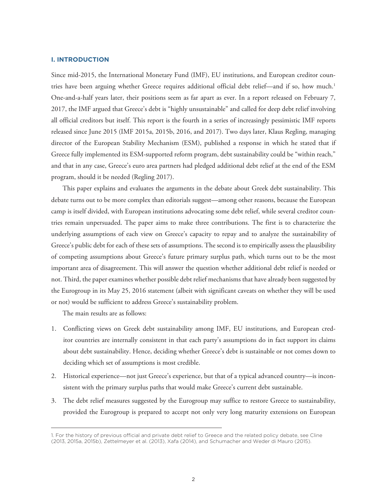#### **I. INTRODUCTION**

Since mid-2015, the International Monetary Fund (IMF), EU institutions, and European creditor countries have been arguing whether Greece requires additional official debt relief—and if so, how much.<sup>1</sup> One-and-a-half years later, their positions seem as far apart as ever. In a report released on February 7, 2017, the IMF argued that Greece's debt is "highly unsustainable" and called for deep debt relief involving all official creditors but itself. This report is the fourth in a series of increasingly pessimistic IMF reports released since June 2015 (IMF 2015a, 2015b, 2016, and 2017). Two days later, Klaus Regling, managing director of the European Stability Mechanism (ESM), published a response in which he stated that if Greece fully implemented its ESM-supported reform program, debt sustainability could be "within reach," and that in any case, Greece's euro area partners had pledged additional debt relief at the end of the ESM program, should it be needed (Regling 2017).

This paper explains and evaluates the arguments in the debate about Greek debt sustainability. This debate turns out to be more complex than editorials suggest—among other reasons, because the European camp is itself divided, with European institutions advocating some debt relief, while several creditor countries remain unpersuaded. The paper aims to make three contributions. The first is to characterize the underlying assumptions of each view on Greece's capacity to repay and to analyze the sustainability of Greece's public debt for each of these sets of assumptions. The second is to empirically assess the plausibility of competing assumptions about Greece's future primary surplus path, which turns out to be the most important area of disagreement. This will answer the question whether additional debt relief is needed or not. Third, the paper examines whether possible debt relief mechanisms that have already been suggested by the Eurogroup in its May 25, 2016 statement (albeit with significant caveats on whether they will be used or not) would be sufficient to address Greece's sustainability problem.

The main results are as follows:

- 1. Conflicting views on Greek debt sustainability among IMF, EU institutions, and European creditor countries are internally consistent in that each party's assumptions do in fact support its claims about debt sustainability. Hence, deciding whether Greece's debt is sustainable or not comes down to deciding which set of assumptions is most credible.
- 2. Historical experience—not just Greece's experience, but that of a typical advanced country—is inconsistent with the primary surplus paths that would make Greece's current debt sustainable.
- 3. The debt relief measures suggested by the Eurogroup may suffice to restore Greece to sustainability, provided the Eurogroup is prepared to accept not only very long maturity extensions on European

<sup>1.</sup> For the history of previous official and private debt relief to Greece and the related policy debate, see Cline (2013, 2015a, 2015b), Zettelmeyer et al. (2013), Xafa (2014), and Schumacher and Weder di Mauro (2015).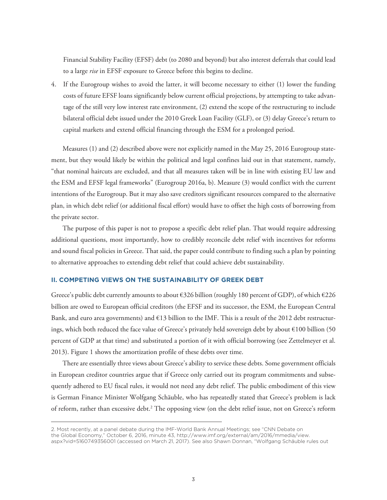Financial Stability Facility (EFSF) debt (to 2080 and beyond) but also interest deferrals that could lead to a large *rise* in EFSF exposure to Greece before this begins to decline.

4. If the Eurogroup wishes to avoid the latter, it will become necessary to either (1) lower the funding costs of future EFSF loans significantly below current official projections, by attempting to take advantage of the still very low interest rate environment, (2) extend the scope of the restructuring to include bilateral official debt issued under the 2010 Greek Loan Facility (GLF), or (3) delay Greece's return to capital markets and extend official financing through the ESM for a prolonged period.

Measures (1) and (2) described above were not explicitly named in the May 25, 2016 Eurogroup statement, but they would likely be within the political and legal confines laid out in that statement, namely, "that nominal haircuts are excluded, and that all measures taken will be in line with existing EU law and the ESM and EFSF legal frameworks" (Eurogroup 2016a, b). Measure (3) would conflict with the current intentions of the Eurogroup. But it may also save creditors significant resources compared to the alternative plan, in which debt relief (or additional fiscal effort) would have to offset the high costs of borrowing from the private sector.

The purpose of this paper is not to propose a specific debt relief plan. That would require addressing additional questions, most importantly, how to credibly reconcile debt relief with incentives for reforms and sound fiscal policies in Greece. That said, the paper could contribute to finding such a plan by pointing to alternative approaches to extending debt relief that could achieve debt sustainability.

#### **II. COMPETING VIEWS ON THE SUSTAINABILITY OF GREEK DEBT**

Greece's public debt currently amounts to about €326 billion (roughly 180 percent of GDP), of which €226 billion are owed to European official creditors (the EFSF and its successor, the ESM, the European Central Bank, and euro area governments) and  $\epsilon$ 13 billion to the IMF. This is a result of the 2012 debt restructurings, which both reduced the face value of Greece's privately held sovereign debt by about €100 billion (50 percent of GDP at that time) and substituted a portion of it with official borrowing (see Zettelmeyer et al. 2013). Figure 1 shows the amortization profile of these debts over time.

There are essentially three views about Greece's ability to service these debts. Some government officials in European creditor countries argue that if Greece only carried out its program commitments and subsequently adhered to EU fiscal rules, it would not need any debt relief. The public embodiment of this view is German Finance Minister Wolfgang Schäuble, who has repeatedly stated that Greece's problem is lack of reform, rather than excessive debt.<sup>2</sup> The opposing view (on the debt relief issue, not on Greece's reform

<sup>2.</sup> Most recently, at a panel debate during the IMF-World Bank Annual Meetings; see "CNN Debate on

the Global Economy," October 6, 2016, minute 43, http://www.imf.org/external/am/2016/mmedia/view.

aspx?vid=5160749356001 (accessed on March 21, 2017). See also Shawn Donnan, "Wolfgang Schäuble rules out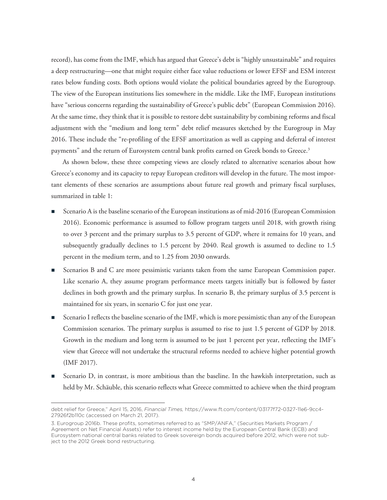record), has come from the IMF, which has argued that Greece's debt is "highly unsustainable" and requires a deep restructuring—one that might require either face value reductions or lower EFSF and ESM interest rates below funding costs. Both options would violate the political boundaries agreed by the Eurogroup. The view of the European institutions lies somewhere in the middle. Like the IMF, European institutions have "serious concerns regarding the sustainability of Greece's public debt" (European Commission 2016). At the same time, they think that it is possible to restore debt sustainability by combining reforms and fiscal adjustment with the "medium and long term" debt relief measures sketched by the Eurogroup in May 2016. These include the "re-profiling of the EFSF amortization as well as capping and deferral of interest payments" and the return of Eurosystem central bank profits earned on Greek bonds to Greece.<sup>3</sup>

As shown below, these three competing views are closely related to alternative scenarios about how Greece's economy and its capacity to repay European creditors will develop in the future. The most important elements of these scenarios are assumptions about future real growth and primary fiscal surpluses, summarized in table 1:

- Scenario A is the baseline scenario of the European institutions as of mid-2016 (European Commission 2016). Economic performance is assumed to follow program targets until 2018, with growth rising to over 3 percent and the primary surplus to 3.5 percent of GDP, where it remains for 10 years, and subsequently gradually declines to 1.5 percent by 2040. Real growth is assumed to decline to 1.5 percent in the medium term, and to 1.25 from 2030 onwards.
- Scenarios B and C are more pessimistic variants taken from the same European Commission paper. Like scenario A, they assume program performance meets targets initially but is followed by faster declines in both growth and the primary surplus. In scenario B, the primary surplus of 3.5 percent is maintained for six years, in scenario C for just one year.
- Scenario I reflects the baseline scenario of the IMF, which is more pessimistic than any of the European Commission scenarios. The primary surplus is assumed to rise to just 1.5 percent of GDP by 2018. Growth in the medium and long term is assumed to be just 1 percent per year, reflecting the IMF's view that Greece will not undertake the structural reforms needed to achieve higher potential growth (IMF 2017).
- Scenario D, in contrast, is more ambitious than the baseline. In the hawkish interpretation, such as held by Mr. Schäuble, this scenario reflects what Greece committed to achieve when the third program

debt relief for Greece," April 15, 2016, *Financial Times,* https://www.ft.com/content/03177f72-0327-11e6-9cc4- 27926f2b110c (accessed on March 21, 2017).

<sup>3.</sup> Eurogroup 2016b. These profits, sometimes referred to as "SMP/ANFA," (Securities Markets Program / Agreement on Net Financial Assets) refer to interest income held by the European Central Bank (ECB) and Eurosystem national central banks related to Greek sovereign bonds acquired before 2012, which were not subject to the 2012 Greek bond restructuring.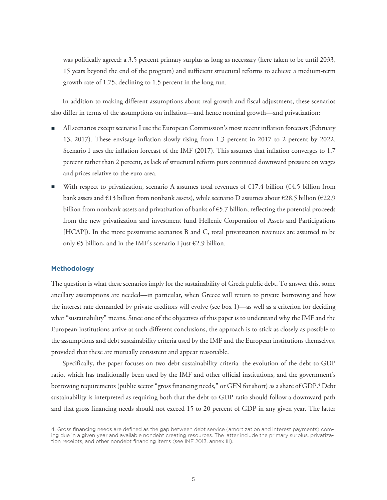was politically agreed: a 3.5 percent primary surplus as long as necessary (here taken to be until 2033, 15 years beyond the end of the program) and sufficient structural reforms to achieve a medium-term growth rate of 1.75, declining to 1.5 percent in the long run.

In addition to making different assumptions about real growth and fiscal adjustment, these scenarios also differ in terms of the assumptions on inflation—and hence nominal growth—and privatization:

- All scenarios except scenario I use the European Commission's most recent inflation forecasts (February 13, 2017). These envisage inflation slowly rising from 1.3 percent in 2017 to 2 percent by 2022. Scenario I uses the inflation forecast of the IMF (2017). This assumes that inflation converges to 1.7 percent rather than 2 percent, as lack of structural reform puts continued downward pressure on wages and prices relative to the euro area.
- With respect to privatization, scenario A assumes total revenues of  $\epsilon$ 17.4 billion ( $\epsilon$ 4.5 billion from bank assets and  $\epsilon$ 13 billion from nonbank assets), while scenario D assumes about  $\epsilon$ 28.5 billion ( $\epsilon$ 22.9 billion from nonbank assets and privatization of banks of  $65.7$  billion, reflecting the potential proceeds from the new privatization and investment fund Hellenic Corporation of Assets and Participations [HCAP]). In the more pessimistic scenarios B and C, total privatization revenues are assumed to be only €5 billion, and in the IMF's scenario I just €2.9 billion.

### **Methodology**

The question is what these scenarios imply for the sustainability of Greek public debt. To answer this, some ancillary assumptions are needed—in particular, when Greece will return to private borrowing and how the interest rate demanded by private creditors will evolve (see box 1)—as well as a criterion for deciding what "sustainability" means. Since one of the objectives of this paper is to understand why the IMF and the European institutions arrive at such different conclusions, the approach is to stick as closely as possible to the assumptions and debt sustainability criteria used by the IMF and the European institutions themselves, provided that these are mutually consistent and appear reasonable.

Specifically, the paper focuses on two debt sustainability criteria: the evolution of the debt-to-GDP ratio, which has traditionally been used by the IMF and other official institutions, and the government's borrowing requirements (public sector "gross financing needs," or GFN for short) as a share of GDP. $^4$  Debt sustainability is interpreted as requiring both that the debt-to-GDP ratio should follow a downward path and that gross financing needs should not exceed 15 to 20 percent of GDP in any given year. The latter

<sup>4.</sup> Gross financing needs are defined as the gap between debt service (amortization and interest payments) coming due in a given year and available nondebt creating resources. The latter include the primary surplus, privatization receipts, and other nondebt financing items (see IMF 2013, annex III).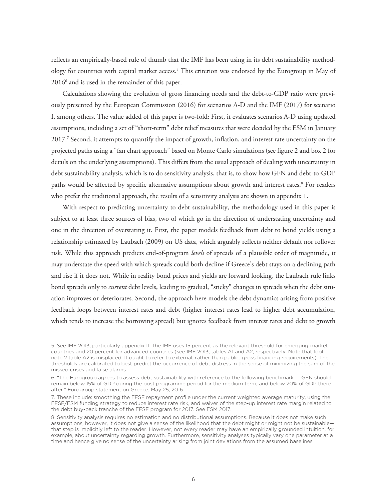reflects an empirically-based rule of thumb that the IMF has been using in its debt sustainability methodology for countries with capital market access.<sup>5</sup> This criterion was endorsed by the Eurogroup in May of 20166 and is used in the remainder of this paper.

Calculations showing the evolution of gross financing needs and the debt-to-GDP ratio were previously presented by the European Commission (2016) for scenarios A-D and the IMF (2017) for scenario I, among others. The value added of this paper is two-fold: First, it evaluates scenarios A-D using updated assumptions, including a set of "short-term" debt relief measures that were decided by the ESM in January 2017.7 Second, it attempts to quantify the impact of growth, inflation, and interest rate uncertainty on the projected paths using a "fan chart approach" based on Monte Carlo simulations (see figure 2 and box 2 for details on the underlying assumptions). This differs from the usual approach of dealing with uncertainty in debt sustainability analysis, which is to do sensitivity analysis, that is, to show how GFN and debt-to-GDP paths would be affected by specific alternative assumptions about growth and interest rates.<sup>8</sup> For readers who prefer the traditional approach, the results of a sensitivity analysis are shown in appendix 1.

With respect to predicting uncertainty to debt sustainability, the methodology used in this paper is subject to at least three sources of bias, two of which go in the direction of understating uncertainty and one in the direction of overstating it. First, the paper models feedback from debt to bond yields using a relationship estimated by Laubach (2009) on US data, which arguably reflects neither default nor rollover risk. While this approach predicts end-of-program *levels* of spreads of a plausible order of magnitude, it may understate the speed with which spreads could both decline if Greece's debt stays on a declining path and rise if it does not. While in reality bond prices and yields are forward looking, the Laubach rule links bond spreads only to *current* debt levels, leading to gradual, "sticky" changes in spreads when the debt situation improves or deteriorates. Second, the approach here models the debt dynamics arising from positive feedback loops between interest rates and debt (higher interest rates lead to higher debt accumulation, which tends to increase the borrowing spread) but ignores feedback from interest rates and debt to growth

<sup>5.</sup> See IMF 2013, particularly appendix II. The IMF uses 15 percent as the relevant threshold for emerging-market countries and 20 percent for advanced countries (see IMF 2013, tables A1 and A2, respectively. Note that footnote 2 table A2 is misplaced: It ought to refer to external, rather than public, gross financing requirements). The thresholds are calibrated to best predict the occurrence of debt distress in the sense of minimizing the sum of the missed crises and false alarms.

<sup>6. &</sup>quot;The Eurogroup agrees to assess debt sustainability with reference to the following benchmark: … GFN should remain below 15% of GDP during the post programme period for the medium term, and below 20% of GDP thereafter." Eurogroup statement on Greece, May 25, 2016.

<sup>7.</sup> These include: smoothing the EFSF repayment profile under the current weighted average maturity, using the EFSF/ESM funding strategy to reduce interest rate risk, and waiver of the step-up interest rate margin related to the debt buy-back tranche of the EFSF program for 2017. See ESM 2017.

<sup>8.</sup> Sensitivity analysis requires no estimation and no distributional assumptions. Because it does not make such assumptions, however, it does not give a sense of the likelihood that the debt might or might not be sustainablethat step is implicitly left to the reader. However, not every reader may have an empirically grounded intuition, for example, about uncertainty regarding growth. Furthermore, sensitivity analyses typically vary one parameter at a time and hence give no sense of the uncertainty arising from joint deviations from the assumed baselines.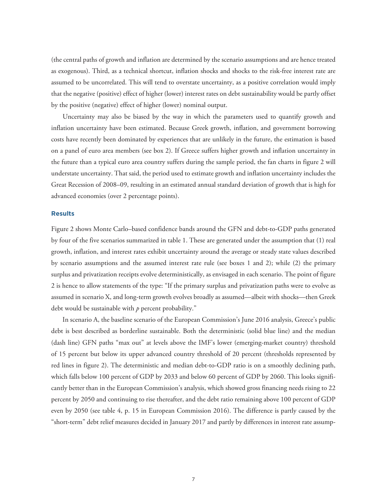(the central paths of growth and inflation are determined by the scenario assumptions and are hence treated as exogenous). Third, as a technical shortcut, inflation shocks and shocks to the risk-free interest rate are assumed to be uncorrelated. This will tend to overstate uncertainty, as a positive correlation would imply that the negative (positive) effect of higher (lower) interest rates on debt sustainability would be partly offset by the positive (negative) effect of higher (lower) nominal output.

Uncertainty may also be biased by the way in which the parameters used to quantify growth and inflation uncertainty have been estimated. Because Greek growth, inflation, and government borrowing costs have recently been dominated by experiences that are unlikely in the future, the estimation is based on a panel of euro area members (see box 2). If Greece suffers higher growth and inflation uncertainty in the future than a typical euro area country suffers during the sample period, the fan charts in figure 2 will understate uncertainty. That said, the period used to estimate growth and inflation uncertainty includes the Great Recession of 2008–09, resulting in an estimated annual standard deviation of growth that is high for advanced economies (over 2 percentage points).

# **Results**

Figure 2 shows Monte Carlo–based confidence bands around the GFN and debt-to-GDP paths generated by four of the five scenarios summarized in table 1. These are generated under the assumption that (1) real growth, inflation, and interest rates exhibit uncertainty around the average or steady state values described by scenario assumptions and the assumed interest rate rule (see boxes 1 and 2); while (2) the primary surplus and privatization receipts evolve deterministically, as envisaged in each scenario. The point of figure 2 is hence to allow statements of the type: "If the primary surplus and privatization paths were to evolve as assumed in scenario X, and long-term growth evolves broadly as assumed—albeit with shocks—then Greek debt would be sustainable with *p* percent probability."

In scenario A, the baseline scenario of the European Commission's June 2016 analysis, Greece's public debt is best described as borderline sustainable. Both the deterministic (solid blue line) and the median (dash line) GFN paths "max out" at levels above the IMF's lower (emerging-market country) threshold of 15 percent but below its upper advanced country threshold of 20 percent (thresholds represented by red lines in figure 2). The deterministic and median debt-to-GDP ratio is on a smoothly declining path, which falls below 100 percent of GDP by 2033 and below 60 percent of GDP by 2060. This looks significantly better than in the European Commission's analysis, which showed gross financing needs rising to 22 percent by 2050 and continuing to rise thereafter, and the debt ratio remaining above 100 percent of GDP even by 2050 (see table 4, p. 15 in European Commission 2016). The difference is partly caused by the "short-term" debt relief measures decided in January 2017 and partly by differences in interest rate assump-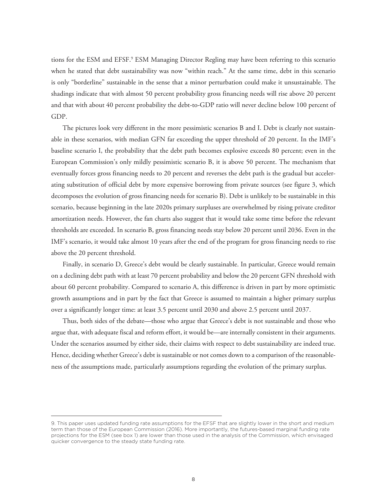tions for the ESM and EFSF.<sup>9</sup> ESM Managing Director Regling may have been referring to this scenario when he stated that debt sustainability was now "within reach." At the same time, debt in this scenario is only "borderline" sustainable in the sense that a minor perturbation could make it unsustainable. The shadings indicate that with almost 50 percent probability gross financing needs will rise above 20 percent and that with about 40 percent probability the debt-to-GDP ratio will never decline below 100 percent of GDP.

The pictures look very different in the more pessimistic scenarios B and I. Debt is clearly not sustainable in these scenarios, with median GFN far exceeding the upper threshold of 20 percent. In the IMF's baseline scenario I, the probability that the debt path becomes explosive exceeds 80 percent; even in the European Commission's only mildly pessimistic scenario B, it is above 50 percent. The mechanism that eventually forces gross financing needs to 20 percent and reverses the debt path is the gradual but accelerating substitution of official debt by more expensive borrowing from private sources (see figure 3, which decomposes the evolution of gross financing needs for scenario B). Debt is unlikely to be sustainable in this scenario, because beginning in the late 2020s primary surpluses are overwhelmed by rising private creditor amortization needs. However, the fan charts also suggest that it would take some time before the relevant thresholds are exceeded. In scenario B, gross financing needs stay below 20 percent until 2036. Even in the IMF's scenario, it would take almost 10 years after the end of the program for gross financing needs to rise above the 20 percent threshold.

Finally, in scenario D, Greece's debt would be clearly sustainable. In particular, Greece would remain on a declining debt path with at least 70 percent probability and below the 20 percent GFN threshold with about 60 percent probability. Compared to scenario A, this difference is driven in part by more optimistic growth assumptions and in part by the fact that Greece is assumed to maintain a higher primary surplus over a significantly longer time: at least 3.5 percent until 2030 and above 2.5 percent until 2037.

Thus, both sides of the debate—those who argue that Greece's debt is not sustainable and those who argue that, with adequate fiscal and reform effort, it would be—are internally consistent in their arguments. Under the scenarios assumed by either side, their claims with respect to debt sustainability are indeed true. Hence, deciding whether Greece's debt is sustainable or not comes down to a comparison of the reasonableness of the assumptions made, particularly assumptions regarding the evolution of the primary surplus.

<sup>9.</sup> This paper uses updated funding rate assumptions for the EFSF that are slightly lower in the short and medium term than those of the European Commission (2016). More importantly, the futures-based marginal funding rate projections for the ESM (see box 1) are lower than those used in the analysis of the Commission, which envisaged quicker convergence to the steady state funding rate.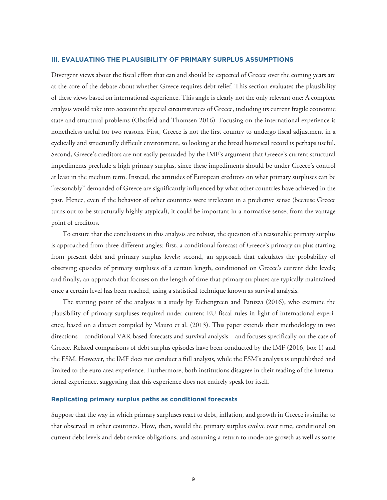#### **III. EVALUATING THE PLAUSIBILITY OF PRIMARY SURPLUS ASSUMPTIONS**

Divergent views about the fiscal effort that can and should be expected of Greece over the coming years are at the core of the debate about whether Greece requires debt relief. This section evaluates the plausibility of these views based on international experience. This angle is clearly not the only relevant one: A complete analysis would take into account the special circumstances of Greece, including its current fragile economic state and structural problems (Obstfeld and Thomsen 2016). Focusing on the international experience is nonetheless useful for two reasons. First, Greece is not the first country to undergo fiscal adjustment in a cyclically and structurally difficult environment, so looking at the broad historical record is perhaps useful. Second, Greece's creditors are not easily persuaded by the IMF's argument that Greece's current structural impediments preclude a high primary surplus, since these impediments should be under Greece's control at least in the medium term. Instead, the attitudes of European creditors on what primary surpluses can be "reasonably" demanded of Greece are significantly influenced by what other countries have achieved in the past. Hence, even if the behavior of other countries were irrelevant in a predictive sense (because Greece turns out to be structurally highly atypical), it could be important in a normative sense, from the vantage point of creditors.

To ensure that the conclusions in this analysis are robust, the question of a reasonable primary surplus is approached from three different angles: first, a conditional forecast of Greece's primary surplus starting from present debt and primary surplus levels; second, an approach that calculates the probability of observing episodes of primary surpluses of a certain length, conditioned on Greece's current debt levels; and finally, an approach that focuses on the length of time that primary surpluses are typically maintained once a certain level has been reached, using a statistical technique known as survival analysis.

The starting point of the analysis is a study by Eichengreen and Panizza (2016), who examine the plausibility of primary surpluses required under current EU fiscal rules in light of international experience, based on a dataset compiled by Mauro et al. (2013). This paper extends their methodology in two directions—conditional VAR-based forecasts and survival analysis—and focuses specifically on the case of Greece. Related comparisons of debt surplus episodes have been conducted by the IMF (2016, box 1) and the ESM. However, the IMF does not conduct a full analysis, while the ESM's analysis is unpublished and limited to the euro area experience. Furthermore, both institutions disagree in their reading of the international experience, suggesting that this experience does not entirely speak for itself.

# **Replicating primary surplus paths as conditional forecasts**

Suppose that the way in which primary surpluses react to debt, inflation, and growth in Greece is similar to that observed in other countries. How, then, would the primary surplus evolve over time, conditional on current debt levels and debt service obligations, and assuming a return to moderate growth as well as some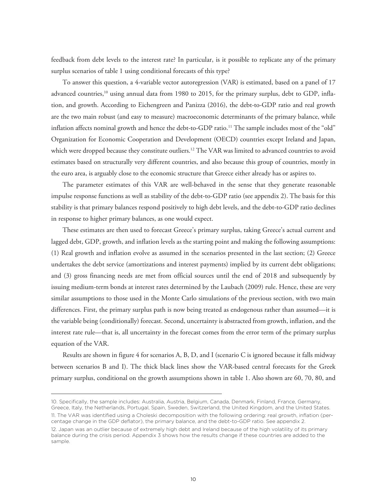feedback from debt levels to the interest rate? In particular, is it possible to replicate any of the primary surplus scenarios of table 1 using conditional forecasts of this type?

To answer this question, a 4-variable vector autoregression (VAR) is estimated, based on a panel of 17 advanced countries,<sup>10</sup> using annual data from 1980 to 2015, for the primary surplus, debt to GDP, inflation, and growth. According to Eichengreen and Panizza (2016), the debt-to-GDP ratio and real growth are the two main robust (and easy to measure) macroeconomic determinants of the primary balance, while inflation affects nominal growth and hence the debt-to-GDP ratio.<sup>11</sup> The sample includes most of the "old" Organization for Economic Cooperation and Development (OECD) countries except Ireland and Japan, which were dropped because they constitute outliers.<sup>12</sup> The VAR was limited to advanced countries to avoid estimates based on structurally very different countries, and also because this group of countries, mostly in the euro area, is arguably close to the economic structure that Greece either already has or aspires to.

The parameter estimates of this VAR are well-behaved in the sense that they generate reasonable impulse response functions as well as stability of the debt-to-GDP ratio (see appendix 2). The basis for this stability is that primary balances respond positively to high debt levels, and the debt-to-GDP ratio declines in response to higher primary balances, as one would expect.

These estimates are then used to forecast Greece's primary surplus, taking Greece's actual current and lagged debt, GDP, growth, and inflation levels as the starting point and making the following assumptions: (1) Real growth and inflation evolve as assumed in the scenarios presented in the last section; (2) Greece undertakes the debt service (amortizations and interest payments) implied by its current debt obligations; and (3) gross financing needs are met from official sources until the end of 2018 and subsequently by issuing medium-term bonds at interest rates determined by the Laubach (2009) rule. Hence, these are very similar assumptions to those used in the Monte Carlo simulations of the previous section, with two main differences. First, the primary surplus path is now being treated as endogenous rather than assumed—it is the variable being (conditionally) forecast. Second, uncertainty is abstracted from growth, inflation, and the interest rate rule—that is, all uncertainty in the forecast comes from the error term of the primary surplus equation of the VAR.

Results are shown in figure 4 for scenarios A, B, D, and I (scenario C is ignored because it falls midway between scenarios B and I). The thick black lines show the VAR-based central forecasts for the Greek primary surplus, conditional on the growth assumptions shown in table 1. Also shown are 60, 70, 80, and

<sup>10.</sup> Specifically, the sample includes: Australia, Austria, Belgium, Canada, Denmark, Finland, France, Germany, Greece, Italy, the Netherlands, Portugal, Spain, Sweden, Switzerland, the United Kingdom, and the United States. 11. The VAR was identified using a Choleski decomposition with the following ordering: real growth, inflation (percentage change in the GDP deflator), the primary balance, and the debt-to-GDP ratio. See appendix 2.

<sup>12.</sup> Japan was an outlier because of extremely high debt and Ireland because of the high volatility of its primary balance during the crisis period. Appendix 3 shows how the results change if these countries are added to the sample.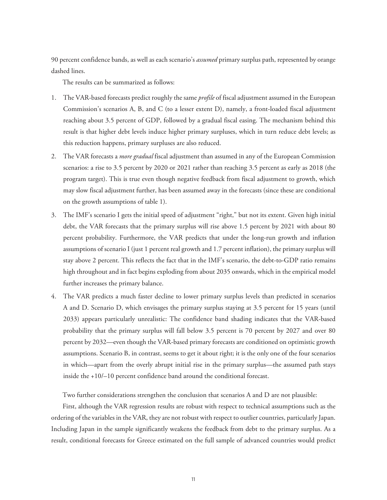90 percent confidence bands, as well as each scenario's *assumed* primary surplus path, represented by orange dashed lines.

The results can be summarized as follows:

- 1. The VAR-based forecasts predict roughly the same *profile* of fiscal adjustment assumed in the European Commission's scenarios A, B, and C (to a lesser extent D), namely, a front-loaded fiscal adjustment reaching about 3.5 percent of GDP, followed by a gradual fiscal easing. The mechanism behind this result is that higher debt levels induce higher primary surpluses, which in turn reduce debt levels; as this reduction happens, primary surpluses are also reduced.
- 2. The VAR forecasts a *more gradual* fiscal adjustment than assumed in any of the European Commission scenarios: a rise to 3.5 percent by 2020 or 2021 rather than reaching 3.5 percent as early as 2018 (the program target). This is true even though negative feedback from fiscal adjustment to growth, which may slow fiscal adjustment further, has been assumed away in the forecasts (since these are conditional on the growth assumptions of table 1).
- 3. The IMF's scenario I gets the initial speed of adjustment "right," but not its extent. Given high initial debt, the VAR forecasts that the primary surplus will rise above 1.5 percent by 2021 with about 80 percent probability. Furthermore, the VAR predicts that under the long-run growth and inflation assumptions of scenario I (just 1 percent real growth and 1.7 percent inflation), the primary surplus will stay above 2 percent. This reflects the fact that in the IMF's scenario, the debt-to-GDP ratio remains high throughout and in fact begins exploding from about 2035 onwards, which in the empirical model further increases the primary balance.
- 4. The VAR predicts a much faster decline to lower primary surplus levels than predicted in scenarios A and D. Scenario D, which envisages the primary surplus staying at 3.5 percent for 15 years (until 2033) appears particularly unrealistic: The confidence band shading indicates that the VAR-based probability that the primary surplus will fall below 3.5 percent is 70 percent by 2027 and over 80 percent by 2032—even though the VAR-based primary forecasts are conditioned on optimistic growth assumptions. Scenario B, in contrast, seems to get it about right; it is the only one of the four scenarios in which—apart from the overly abrupt initial rise in the primary surplus—the assumed path stays inside the +10/–10 percent confidence band around the conditional forecast.

Two further considerations strengthen the conclusion that scenarios A and D are not plausible:

First, although the VAR regression results are robust with respect to technical assumptions such as the ordering of the variables in the VAR, they are not robust with respect to outlier countries, particularly Japan. Including Japan in the sample significantly weakens the feedback from debt to the primary surplus. As a result, conditional forecasts for Greece estimated on the full sample of advanced countries would predict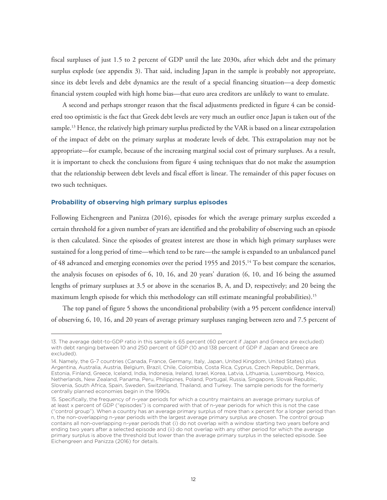fiscal surpluses of just 1.5 to 2 percent of GDP until the late 2030s, after which debt and the primary surplus explode (see appendix 3). That said, including Japan in the sample is probably not appropriate, since its debt levels and debt dynamics are the result of a special financing situation—a deep domestic financial system coupled with high home bias—that euro area creditors are unlikely to want to emulate.

A second and perhaps stronger reason that the fiscal adjustments predicted in figure 4 can be considered too optimistic is the fact that Greek debt levels are very much an outlier once Japan is taken out of the sample.<sup>13</sup> Hence, the relatively high primary surplus predicted by the VAR is based on a linear extrapolation of the impact of debt on the primary surplus at moderate levels of debt. This extrapolation may not be appropriate—for example, because of the increasing marginal social cost of primary surpluses. As a result, it is important to check the conclusions from figure 4 using techniques that do not make the assumption that the relationship between debt levels and fiscal effort is linear. The remainder of this paper focuses on two such techniques.

#### **Probability of observing high primary surplus episodes**

Following Eichengreen and Panizza (2016), episodes for which the average primary surplus exceeded a certain threshold for a given number of years are identified and the probability of observing such an episode is then calculated. Since the episodes of greatest interest are those in which high primary surpluses were sustained for a long period of time—which tend to be rare—the sample is expanded to an unbalanced panel of 48 advanced and emerging economies over the period 1955 and 2015.14 To best compare the scenarios, the analysis focuses on episodes of 6, 10, 16, and 20 years' duration (6, 10, and 16 being the assumed lengths of primary surpluses at 3.5 or above in the scenarios B, A, and D, respectively; and 20 being the maximum length episode for which this methodology can still estimate meaningful probabilities).15

The top panel of figure 5 shows the unconditional probability (with a 95 percent confidence interval) of observing 6, 10, 16, and 20 years of average primary surpluses ranging between zero and 7.5 percent of

<sup>13.</sup> The average debt-to-GDP ratio in this sample is 65 percent (60 percent if Japan and Greece are excluded) with debt ranging between 10 and 250 percent of GDP (10 and 138 percent of GDP if Japan and Greece are excluded).

<sup>14.</sup> Namely, the G-7 countries (Canada, France, Germany, Italy, Japan, United Kingdom, United States) plus Argentina, Australia, Austria, Belgium, Brazil, Chile, Colombia, Costa Rica, Cyprus, Czech Republic, Denmark, Estonia, Finland, Greece, Iceland, India, Indonesia, Ireland, Israel, Korea, Latvia, Lithuania, Luxembourg, Mexico, Netherlands, New Zealand, Panama, Peru, Philippines, Poland, Portugal, Russia, Singapore, Slovak Republic, Slovenia, South Africa, Spain, Sweden, Switzerland, Thailand, and Turkey. The sample periods for the formerly centrally planned economies begin in the 1990s.

<sup>15.</sup> Specifically, the frequency of n-year periods for which a country maintains an average primary surplus of at least x percent of GDP ("episodes") is compared with that of n-year periods for which this is not the case ("control group"). When a country has an average primary surplus of more than x percent for a longer period than n, the non-overlapping n-year periods with the largest average primary surplus are chosen. The control group contains all non-overlapping n-year periods that (i) do not overlap with a window starting two years before and ending two years after a selected episode and (ii) do not overlap with any other period for which the average primary surplus is above the threshold but lower than the average primary surplus in the selected episode. See Eichengreen and Panizza (2016) for details.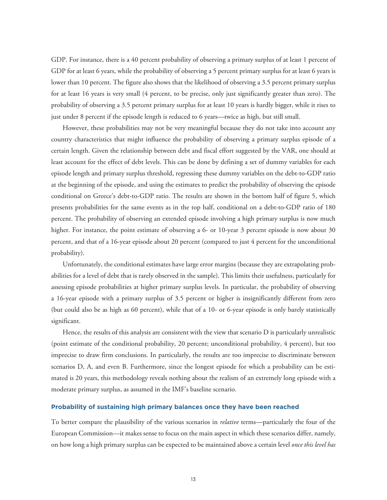GDP. For instance, there is a 40 percent probability of observing a primary surplus of at least 1 percent of GDP for at least 6 years, while the probability of observing a 5 percent primary surplus for at least 6 years is lower than 10 percent. The figure also shows that the likelihood of observing a 3.5 percent primary surplus for at least 16 years is very small (4 percent, to be precise, only just significantly greater than zero). The probability of observing a 3.5 percent primary surplus for at least 10 years is hardly bigger, while it rises to just under 8 percent if the episode length is reduced to 6 years—twice as high, but still small.

However, these probabilities may not be very meaningful because they do not take into account any country characteristics that might influence the probability of observing a primary surplus episode of a certain length. Given the relationship between debt and fiscal effort suggested by the VAR, one should at least account for the effect of debt levels. This can be done by defining a set of dummy variables for each episode length and primary surplus threshold, regressing these dummy variables on the debt-to-GDP ratio at the beginning of the episode, and using the estimates to predict the probability of observing the episode conditional on Greece's debt-to-GDP ratio. The results are shown in the bottom half of figure 5, which presents probabilities for the same events as in the top half, conditional on a debt-to-GDP ratio of 180 percent. The probability of observing an extended episode involving a high primary surplus is now much higher. For instance, the point estimate of observing a 6- or 10-year 3 percent episode is now about 30 percent, and that of a 16-year episode about 20 percent (compared to just 4 percent for the unconditional probability).

Unfortunately, the conditional estimates have large error margins (because they are extrapolating probabilities for a level of debt that is rarely observed in the sample). This limits their usefulness, particularly for assessing episode probabilities at higher primary surplus levels. In particular, the probability of observing a 16-year episode with a primary surplus of 3.5 percent or higher is insignificantly different from zero (but could also be as high as 60 percent), while that of a 10- or 6-year episode is only barely statistically significant.

Hence, the results of this analysis are consistent with the view that scenario D is particularly unrealistic (point estimate of the conditional probability, 20 percent; unconditional probability, 4 percent), but too imprecise to draw firm conclusions. In particularly, the results are too imprecise to discriminate between scenarios D, A, and even B. Furthermore, since the longest episode for which a probability can be estimated is 20 years, this methodology reveals nothing about the realism of an extremely long episode with a moderate primary surplus, as assumed in the IMF's baseline scenario.

# **Probability of sustaining high primary balances once they have been reached**

To better compare the plausibility of the various scenarios in *relative* terms—particularly the four of the European Commission—it makes sense to focus on the main aspect in which these scenarios differ, namely, on how long a high primary surplus can be expected to be maintained above a certain level *once this level has*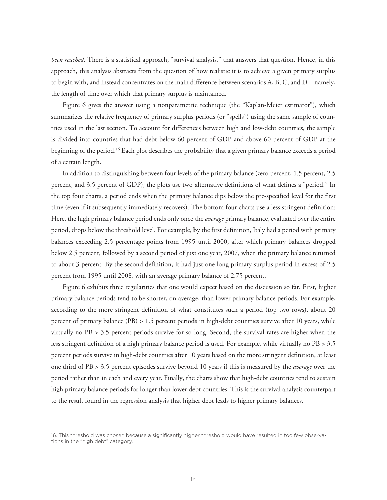*been reached*. There is a statistical approach, "survival analysis," that answers that question. Hence, in this approach, this analysis abstracts from the question of how realistic it is to achieve a given primary surplus to begin with, and instead concentrates on the main difference between scenarios A, B, C, and D—namely, the length of time over which that primary surplus is maintained.

Figure 6 gives the answer using a nonparametric technique (the "Kaplan-Meier estimator"), which summarizes the relative frequency of primary surplus periods (or "spells") using the same sample of countries used in the last section. To account for differences between high and low-debt countries, the sample is divided into countries that had debt below 60 percent of GDP and above 60 percent of GDP at the beginning of the period.16 Each plot describes the probability that a given primary balance exceeds a period of a certain length.

In addition to distinguishing between four levels of the primary balance (zero percent, 1.5 percent, 2.5 percent, and 3.5 percent of GDP), the plots use two alternative definitions of what defines a "period." In the top four charts, a period ends when the primary balance dips below the pre-specified level for the first time (even if it subsequently immediately recovers). The bottom four charts use a less stringent definition: Here, the high primary balance period ends only once the *average* primary balance, evaluated over the entire period, drops below the threshold level. For example, by the first definition, Italy had a period with primary balances exceeding 2.5 percentage points from 1995 until 2000, after which primary balances dropped below 2.5 percent, followed by a second period of just one year, 2007, when the primary balance returned to about 3 percent. By the second definition, it had just one long primary surplus period in excess of 2.5 percent from 1995 until 2008, with an average primary balance of 2.75 percent.

Figure 6 exhibits three regularities that one would expect based on the discussion so far. First, higher primary balance periods tend to be shorter, on average, than lower primary balance periods. For example, according to the more stringent definition of what constitutes such a period (top two rows), about 20 percent of primary balance (PB) > 1.5 percent periods in high-debt countries survive after 10 years, while virtually no PB > 3.5 percent periods survive for so long. Second, the survival rates are higher when the less stringent definition of a high primary balance period is used. For example, while virtually no PB > 3.5 percent periods survive in high-debt countries after 10 years based on the more stringent definition, at least one third of PB > 3.5 percent episodes survive beyond 10 years if this is measured by the *average* over the period rather than in each and every year. Finally, the charts show that high-debt countries tend to sustain high primary balance periods for longer than lower debt countries. This is the survival analysis counterpart to the result found in the regression analysis that higher debt leads to higher primary balances.

<sup>16.</sup> This threshold was chosen because a significantly higher threshold would have resulted in too few observations in the "high debt" category.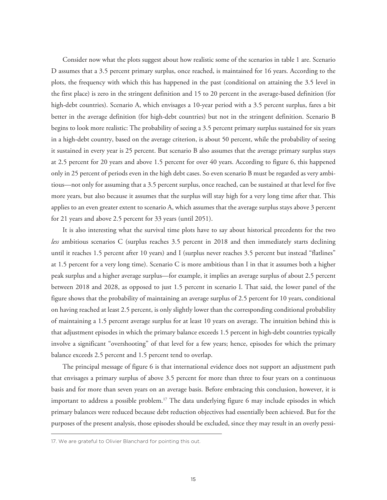Consider now what the plots suggest about how realistic some of the scenarios in table 1 are. Scenario D assumes that a 3.5 percent primary surplus, once reached, is maintained for 16 years. According to the plots, the frequency with which this has happened in the past (conditional on attaining the 3.5 level in the first place) is zero in the stringent definition and 15 to 20 percent in the average-based definition (for high-debt countries). Scenario A, which envisages a 10-year period with a 3.5 percent surplus, fares a bit better in the average definition (for high-debt countries) but not in the stringent definition. Scenario B begins to look more realistic: The probability of seeing a 3.5 percent primary surplus sustained for six years in a high-debt country, based on the average criterion, is about 50 percent, while the probability of seeing it sustained in every year is 25 percent. But scenario B also assumes that the average primary surplus stays at 2.5 percent for 20 years and above 1.5 percent for over 40 years. According to figure 6, this happened only in 25 percent of periods even in the high debt cases. So even scenario B must be regarded as very ambitious—not only for assuming that a 3.5 percent surplus, once reached, can be sustained at that level for five more years, but also because it assumes that the surplus will stay high for a very long time after that. This applies to an even greater extent to scenario A, which assumes that the average surplus stays above 3 percent for 21 years and above 2.5 percent for 33 years (until 2051).

 It is also interesting what the survival time plots have to say about historical precedents for the two *less* ambitious scenarios C (surplus reaches 3.5 percent in 2018 and then immediately starts declining until it reaches 1.5 percent after 10 years) and I (surplus never reaches 3.5 percent but instead "flatlines" at 1.5 percent for a very long time). Scenario C is more ambitious than I in that it assumes both a higher peak surplus and a higher average surplus—for example, it implies an average surplus of about 2.5 percent between 2018 and 2028, as opposed to just 1.5 percent in scenario I. That said, the lower panel of the figure shows that the probability of maintaining an average surplus of 2.5 percent for 10 years, conditional on having reached at least 2.5 percent, is only slightly lower than the corresponding conditional probability of maintaining a 1.5 percent average surplus for at least 10 years on average. The intuition behind this is that adjustment episodes in which the primary balance exceeds 1.5 percent in high-debt countries typically involve a significant "overshooting" of that level for a few years; hence, episodes for which the primary balance exceeds 2.5 percent and 1.5 percent tend to overlap.

The principal message of figure 6 is that international evidence does not support an adjustment path that envisages a primary surplus of above 3.5 percent for more than three to four years on a continuous basis and for more than seven years on an average basis. Before embracing this conclusion, however, it is important to address a possible problem.<sup>17</sup> The data underlying figure 6 may include episodes in which primary balances were reduced because debt reduction objectives had essentially been achieved. But for the purposes of the present analysis, those episodes should be excluded, since they may result in an overly pessi-

<sup>17.</sup> We are grateful to Olivier Blanchard for pointing this out.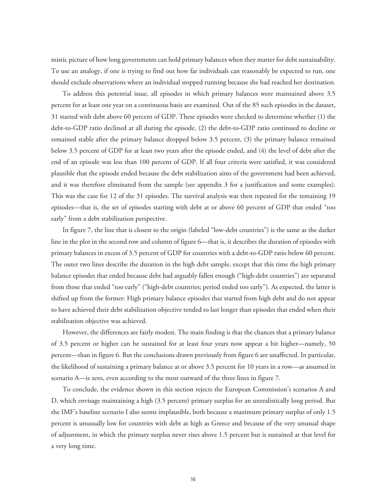mistic picture of how long governments can hold primary balances when they matter for debt sustainability. To use an analogy, if one is trying to find out how far individuals can reasonably be expected to run, one should exclude observations where an individual stopped running because she had reached her destination.

To address this potential issue, all episodes in which primary balances were maintained above 3.5 percent for at least one year on a continuous basis are examined. Out of the 85 such episodes in the dataset, 31 started with debt above 60 percent of GDP. These episodes were checked to determine whether (1) the debt-to-GDP ratio declined at all during the episode, (2) the debt-to-GDP ratio continued to decline or remained stable after the primary balance dropped below 3.5 percent, (3) the primary balance remained below 3.5 percent of GDP for at least two years after the episode ended, and (4) the level of debt after the end of an episode was less than 100 percent of GDP. If all four criteria were satisfied, it was considered plausible that the episode ended because the debt stabilization aims of the government had been achieved, and it was therefore eliminated from the sample (see appendix 3 for a justification and some examples). This was the case for 12 of the 31 episodes. The survival analysis was then repeated for the remaining 19 episodes—that is, the set of episodes starting with debt at or above 60 percent of GDP that ended "too early" from a debt stabilization perspective.

In figure 7, the line that is closest to the origin (labeled "low-debt countries") is the same as the darker line in the plot in the second row and column of figure 6—that is, it describes the duration of episodes with primary balances in excess of 3.5 percent of GDP for countries with a debt-to-GDP ratio below 60 percent. The outer two lines describe the duration in the high debt sample, except that this time the high primary balance episodes that ended because debt had arguably fallen enough ("high-debt countries") are separated from those that ended "too early" ("high-debt countries; period ended too early"). As expected, the latter is shifted up from the former: High primary balance episodes that started from high debt and do not appear to have achieved their debt stabilization objective tended to last longer than episodes that ended when their stabilization objective was achieved.

However, the differences are fairly modest. The main finding is that the chances that a primary balance of 3.5 percent or higher can be sustained for at least four years now appear a bit higher—namely, 50 percent—than in figure 6. But the conclusions drawn previously from figure 6 are unaffected. In particular, the likelihood of sustaining a primary balance at or above 3.5 percent for 10 years in a row—as assumed in scenario A—is zero, even according to the most outward of the three lines in figure 7.

To conclude, the evidence shown in this section rejects the European Commission's scenarios A and D, which envisage maintaining a high (3.5 percent) primary surplus for an unrealistically long period. But the IMF's baseline scenario I also seems implausible, both because a maximum primary surplus of only 1.5 percent is unusually low for countries with debt as high as Greece and because of the very unusual shape of adjustment, in which the primary surplus never rises above 1.5 percent but is sustained at that level for a very long time.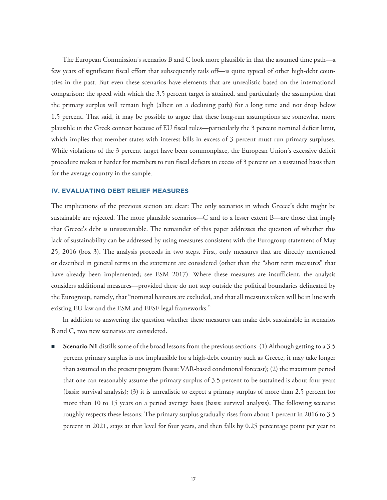The European Commission's scenarios B and C look more plausible in that the assumed time path—a few years of significant fiscal effort that subsequently tails off—is quite typical of other high-debt countries in the past. But even these scenarios have elements that are unrealistic based on the international comparison: the speed with which the 3.5 percent target is attained, and particularly the assumption that the primary surplus will remain high (albeit on a declining path) for a long time and not drop below 1.5 percent. That said, it may be possible to argue that these long-run assumptions are somewhat more plausible in the Greek context because of EU fiscal rules—particularly the 3 percent nominal deficit limit, which implies that member states with interest bills in excess of 3 percent must run primary surpluses. While violations of the 3 percent target have been commonplace, the European Union's excessive deficit procedure makes it harder for members to run fiscal deficits in excess of 3 percent on a sustained basis than for the average country in the sample.

# **IV. EVALUATING DEBT RELIEF MEASURES**

The implications of the previous section are clear: The only scenarios in which Greece's debt might be sustainable are rejected. The more plausible scenarios—C and to a lesser extent B—are those that imply that Greece's debt is unsustainable. The remainder of this paper addresses the question of whether this lack of sustainability can be addressed by using measures consistent with the Eurogroup statement of May 25, 2016 (box 3). The analysis proceeds in two steps. First, only measures that are directly mentioned or described in general terms in the statement are considered (other than the "short term measures" that have already been implemented; see ESM 2017). Where these measures are insufficient, the analysis considers additional measures—provided these do not step outside the political boundaries delineated by the Eurogroup, namely, that "nominal haircuts are excluded, and that all measures taken will be in line with existing EU law and the ESM and EFSF legal frameworks."

In addition to answering the question whether these measures can make debt sustainable in scenarios B and C, two new scenarios are considered.

**Scenario N1** distills some of the broad lessons from the previous sections: (1) Although getting to a 3.5 percent primary surplus is not implausible for a high-debt country such as Greece, it may take longer than assumed in the present program (basis: VAR-based conditional forecast); (2) the maximum period that one can reasonably assume the primary surplus of 3.5 percent to be sustained is about four years (basis: survival analysis); (3) it is unrealistic to expect a primary surplus of more than 2.5 percent for more than 10 to 15 years on a period average basis (basis: survival analysis). The following scenario roughly respects these lessons: The primary surplus gradually rises from about 1 percent in 2016 to 3.5 percent in 2021, stays at that level for four years, and then falls by 0.25 percentage point per year to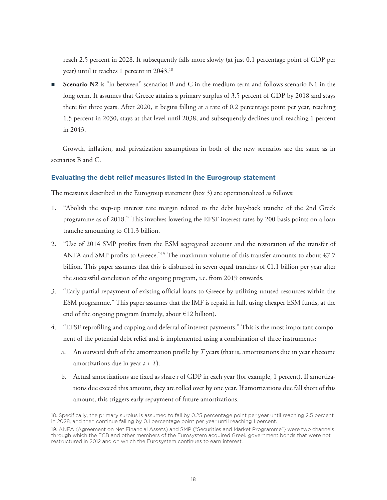reach 2.5 percent in 2028. It subsequently falls more slowly (at just 0.1 percentage point of GDP per year) until it reaches 1 percent in 2043.18

 **Scenario N2** is "in between" scenarios B and C in the medium term and follows scenario N1 in the long term. It assumes that Greece attains a primary surplus of 3.5 percent of GDP by 2018 and stays there for three years. After 2020, it begins falling at a rate of 0.2 percentage point per year, reaching 1.5 percent in 2030, stays at that level until 2038, and subsequently declines until reaching 1 percent in 2043.

Growth, inflation, and privatization assumptions in both of the new scenarios are the same as in scenarios B and C.

# **Evaluating the debt relief measures listed in the Eurogroup statement**

The measures described in the Eurogroup statement (box 3) are operationalized as follows:

- 1. "Abolish the step-up interest rate margin related to the debt buy-back tranche of the 2nd Greek programme as of 2018." This involves lowering the EFSF interest rates by 200 basis points on a loan tranche amounting to  $£11.3$  billion.
- 2. "Use of 2014 SMP profits from the ESM segregated account and the restoration of the transfer of ANFA and SMP profits to Greece."<sup>19</sup> The maximum volume of this transfer amounts to about  $\epsilon$ 7.7 billion. This paper assumes that this is disbursed in seven equal tranches of €1.1 billion per year after the successful conclusion of the ongoing program, i.e. from 2019 onwards.
- 3. "Early partial repayment of existing official loans to Greece by utilizing unused resources within the ESM programme." This paper assumes that the IMF is repaid in full, using cheaper ESM funds, at the end of the ongoing program (namely, about  $E12$  billion).
- 4. "EFSF reprofiling and capping and deferral of interest payments." This is the most important component of the potential debt relief and is implemented using a combination of three instruments:
	- a. An outward shift of the amortization profile by *T* years (that is, amortizations due in year *t* become amortizations due in year *t* + *T*).
	- b. Actual amortizations are fixed as share *s* of GDP in each year (for example, 1 percent). If amortizations due exceed this amount, they are rolled over by one year. If amortizations due fall short of this amount, this triggers early repayment of future amortizations.

<sup>18.</sup> Specifically, the primary surplus is assumed to fall by 0.25 percentage point per year until reaching 2.5 percent in 2028, and then continue falling by 0.1 percentage point per year until reaching 1 percent.

<sup>19.</sup> ANFA (Agreement on Net Financial Assets) and SMP ("Securities and Market Programme") were two channels through which the ECB and other members of the Eurosystem acquired Greek government bonds that were not restructured in 2012 and on which the Eurosystem continues to earn interest.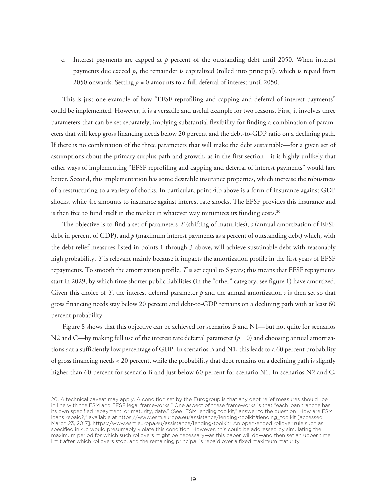c. Interest payments are capped at *p* percent of the outstanding debt until 2050. When interest payments due exceed *p*, the remainder is capitalized (rolled into principal), which is repaid from 2050 onwards. Setting  $p = 0$  amounts to a full deferral of interest until 2050.

This is just one example of how "EFSF reprofiling and capping and deferral of interest payments" could be implemented. However, it is a versatile and useful example for two reasons. First, it involves three parameters that can be set separately, implying substantial flexibility for finding a combination of parameters that will keep gross financing needs below 20 percent and the debt-to-GDP ratio on a declining path. If there is no combination of the three parameters that will make the debt sustainable—for a given set of assumptions about the primary surplus path and growth, as in the first section—it is highly unlikely that other ways of implementing "EFSF reprofiling and capping and deferral of interest payments" would fare better. Second, this implementation has some desirable insurance properties, which increase the robustness of a restructuring to a variety of shocks. In particular, point 4.b above is a form of insurance against GDP shocks, while 4.c amounts to insurance against interest rate shocks. The EFSF provides this insurance and is then free to fund itself in the market in whatever way minimizes its funding costs.<sup>20</sup>

The objective is to find a set of parameters *T* (shifting of maturities), *s* (annual amortization of EFSF debt in percent of GDP), and *p* (maximum interest payments as a percent of outstanding debt) which, with the debt relief measures listed in points 1 through 3 above, will achieve sustainable debt with reasonably high probability. *T* is relevant mainly because it impacts the amortization profile in the first years of EFSF repayments. To smooth the amortization profile, *T* is set equal to 6 years; this means that EFSF repayments start in 2029, by which time shorter public liabilities (in the "other" category; see figure 1) have amortized. Given this choice of *T*, the interest deferral parameter *p* and the annual amortization *s* is then set so that gross financing needs stay below 20 percent and debt-to-GDP remains on a declining path with at least 60 percent probability.

Figure 8 shows that this objective can be achieved for scenarios B and N1—but not quite for scenarios N2 and C—by making full use of the interest rate deferral parameter ( $p = 0$ ) and choosing annual amortizations *s* at a sufficiently low percentage of GDP. In scenarios B and N1, this leads to a 60 percent probability of gross financing needs < 20 percent, while the probability that debt remains on a declining path is slightly higher than 60 percent for scenario B and just below 60 percent for scenario N1. In scenarios N2 and C,

<sup>20.</sup> A technical caveat may apply. A condition set by the Eurogroup is that any debt relief measures should "be in line with the ESM and EFSF legal frameworks." One aspect of these frameworks is that "each loan tranche has its own specified repayment, or maturity, date." (See "ESM lending toolkit," answer to the question "How are ESM loans repaid?," available at https://www.esm.europa.eu/assistance/lending-toolkit#lending\_toolkit [accessed March 23, 2017]. https://www.esm.europa.eu/assistance/lending-toolkit) An open-ended rollover rule such as specified in 4.b would presumably violate this condition. However, this could be addressed by simulating the maximum period for which such rollovers might be necessary—as this paper will do—and then set an upper time limit after which rollovers stop, and the remaining principal is repaid over a fixed maximum maturity.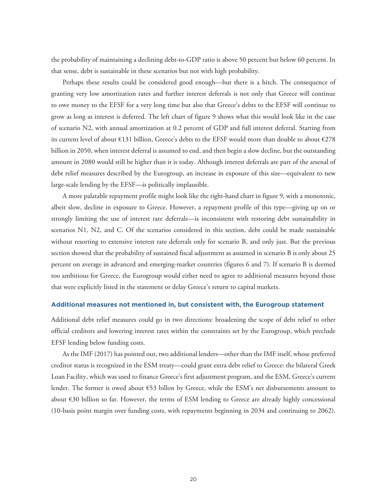the probability of maintaining a declining debt-to-GDP ratio is above 50 percent but below 60 percent. In that sense, debt is sustainable in these scenarios but not with high probability.

Perhaps these results could be considered good enough—but there is a hitch. The consequence of granting very low amortization rates and further interest deferrals is not only that Greece will continue to owe money to the EFSF for a very long time but also that Greece's debts to the EFSF will continue to grow as long as interest is deferred. The left chart of figure 9 shows what this would look like in the case of scenario N2, with annual amortization at 0.2 percent of GDP and full interest deferral. Starting from its current level of about  $\epsilon$ 131 billion, Greece's debts to the EFSF would more than double to about  $\epsilon$ 278 billion in 2050, when interest deferral is assumed to end, and then begin a slow decline, but the outstanding amount in 2080 would still be higher than it is today. Although interest deferrals are part of the arsenal of debt relief measures described by the Eurogroup, an increase in exposure of this size—equivalent to new large-scale lending by the EFSF—is politically implausible.

A more palatable repayment profile might look like the right-hand chart in figure 9, with a monotonic, albeit slow, decline in exposure to Greece. However, a repayment profile of this type—giving up on or strongly limiting the use of interest rate deferrals—is inconsistent with restoring debt sustainability in scenarios N1, N2, and C. Of the scenarios considered in this section, debt could be made sustainable without resorting to extensive interest rate deferrals only for scenario B, and only just. But the previous section showed that the probability of sustained fiscal adjustment as assumed in scenario B is only about 25 percent on average in advanced and emerging-market countries (figures 6 and 7). If scenario B is deemed too ambitious for Greece, the Eurogroup would either need to agree to additional measures beyond those that were explicitly listed in the statement or delay Greece's return to capital markets.

#### **Additional measures not mentioned in, but consistent with, the Eurogroup statement**

Additional debt relief measures could go in two directions: broadening the scope of debt relief to other official creditors and lowering interest rates within the constraints set by the Eurogroup, which preclude EFSF lending below funding costs.

As the IMF (2017) has pointed out, two additional lenders—other than the IMF itself, whose preferred creditor status is recognized in the ESM treaty—could grant extra debt relief to Greece: the bilateral Greek Loan Facility, which was used to finance Greece's first adjustment program, and the ESM, Greece's current lender. The former is owed about  $\epsilon$ 53 billon by Greece, while the ESM's net disbursements amount to about €30 billion so far. However, the terms of ESM lending to Greece are already highly concessional (10-basis point margin over funding costs, with repayments beginning in 2034 and continuing to 2062).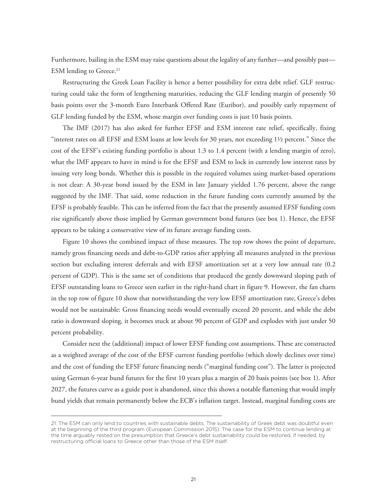Furthermore, bailing in the ESM may raise questions about the legality of any further—and possibly past— ESM lending to Greece.<sup>21</sup>

Restructuring the Greek Loan Facility is hence a better possibility for extra debt relief. GLF restructuring could take the form of lengthening maturities, reducing the GLF lending margin of presently 50 basis points over the 3-month Euro Interbank Offered Rate (Euribor), and possibly early repayment of GLF lending funded by the ESM, whose margin over funding costs is just 10 basis points.

The IMF (2017) has also asked for further EFSF and ESM interest rate relief, specifically, fixing "interest rates on all EFSF and ESM loans at low levels for 30 years, not exceeding 1½ percent." Since the cost of the EFSF's existing funding portfolio is about 1.3 to 1.4 percent (with a lending margin of zero), what the IMF appears to have in mind is for the EFSF and ESM to lock in currently low interest rates by issuing very long bonds. Whether this is possible in the required volumes using market-based operations is not clear: A 30-year bond issued by the ESM in late January yielded 1.76 percent, above the range suggested by the IMF. That said, some reduction in the future funding costs currently assumed by the EFSF is probably feasible. This can be inferred from the fact that the presently assumed EFSF funding costs rise significantly above those implied by German government bond futures (see box 1). Hence, the EFSF appears to be taking a conservative view of its future average funding costs.

Figure 10 shows the combined impact of these measures. The top row shows the point of departure, namely gross financing needs and debt-to-GDP ratios after applying all measures analyzed in the previous section but excluding interest deferrals and with EFSF amortization set at a very low annual rate (0.2 percent of GDP). This is the same set of conditions that produced the gently downward sloping path of EFSF outstanding loans to Greece seen earlier in the right-hand chart in figure 9. However, the fan charts in the top row of figure 10 show that notwithstanding the very low EFSF amortization rate, Greece's debts would not be sustainable: Gross financing needs would eventually exceed 20 percent, and while the debt ratio is downward sloping, it becomes stuck at about 90 percent of GDP and explodes with just under 50 percent probability.

Consider next the (additional) impact of lower EFSF funding cost assumptions. These are constructed as a weighted average of the cost of the EFSF current funding portfolio (which slowly declines over time) and the cost of funding the EFSF future financing needs ("marginal funding cost"). The latter is projected using German 6-year bund futures for the first 10 years plus a margin of 20 basis points (see box 1). After 2027, the futures curve as a guide post is abandoned, since this shows a notable flattening that would imply bund yields that remain permanently below the ECB's inflation target. Instead, marginal funding costs are

<sup>21.</sup> The ESM can only lend to countries with sustainable debts. The sustainability of Greek debt was doubtful even at the beginning of the third program (European Commission 2015). The case for the ESM to continue lending at the time arguably rested on the presumption that Greece's debt sustainability could be restored, if needed, by restructuring official loans to Greece other than those of the ESM itself.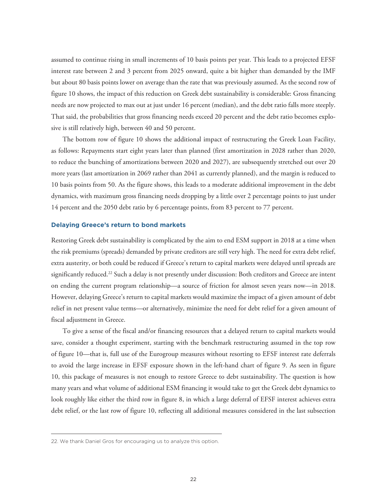assumed to continue rising in small increments of 10 basis points per year. This leads to a projected EFSF interest rate between 2 and 3 percent from 2025 onward, quite a bit higher than demanded by the IMF but about 80 basis points lower on average than the rate that was previously assumed. As the second row of figure 10 shows, the impact of this reduction on Greek debt sustainability is considerable: Gross financing needs are now projected to max out at just under 16 percent (median), and the debt ratio falls more steeply. That said, the probabilities that gross financing needs exceed 20 percent and the debt ratio becomes explosive is still relatively high, between 40 and 50 percent.

The bottom row of figure 10 shows the additional impact of restructuring the Greek Loan Facility, as follows: Repayments start eight years later than planned (first amortization in 2028 rather than 2020, to reduce the bunching of amortizations between 2020 and 2027), are subsequently stretched out over 20 more years (last amortization in 2069 rather than 2041 as currently planned), and the margin is reduced to 10 basis points from 50. As the figure shows, this leads to a moderate additional improvement in the debt dynamics, with maximum gross financing needs dropping by a little over 2 percentage points to just under 14 percent and the 2050 debt ratio by 6 percentage points, from 83 percent to 77 percent.

#### **Delaying Greece's return to bond markets**

Restoring Greek debt sustainability is complicated by the aim to end ESM support in 2018 at a time when the risk premiums (spreads) demanded by private creditors are still very high. The need for extra debt relief, extra austerity, or both could be reduced if Greece's return to capital markets were delayed until spreads are significantly reduced.22 Such a delay is not presently under discussion: Both creditors and Greece are intent on ending the current program relationship—a source of friction for almost seven years now—in 2018. However, delaying Greece's return to capital markets would maximize the impact of a given amount of debt relief in net present value terms—or alternatively, minimize the need for debt relief for a given amount of fiscal adjustment in Greece.

To give a sense of the fiscal and/or financing resources that a delayed return to capital markets would save, consider a thought experiment, starting with the benchmark restructuring assumed in the top row of figure 10—that is, full use of the Eurogroup measures without resorting to EFSF interest rate deferrals to avoid the large increase in EFSF exposure shown in the left-hand chart of figure 9. As seen in figure 10, this package of measures is not enough to restore Greece to debt sustainability. The question is how many years and what volume of additional ESM financing it would take to get the Greek debt dynamics to look roughly like either the third row in figure 8, in which a large deferral of EFSF interest achieves extra debt relief, or the last row of figure 10, reflecting all additional measures considered in the last subsection

<sup>22.</sup> We thank Daniel Gros for encouraging us to analyze this option.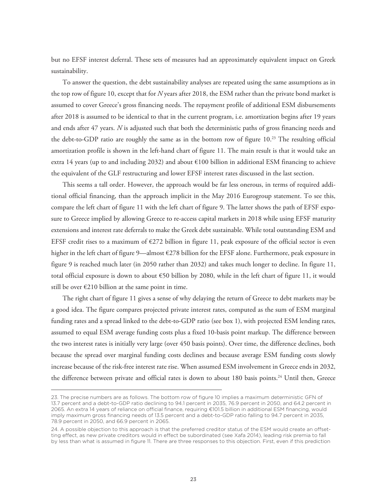but no EFSF interest deferral. These sets of measures had an approximately equivalent impact on Greek sustainability.

To answer the question, the debt sustainability analyses are repeated using the same assumptions as in the top row of figure 10, except that for *N* years after 2018, the ESM rather than the private bond market is assumed to cover Greece's gross financing needs. The repayment profile of additional ESM disbursements after 2018 is assumed to be identical to that in the current program, i.e. amortization begins after 19 years and ends after 47 years. *N* is adjusted such that both the deterministic paths of gross financing needs and the debt-to-GDP ratio are roughly the same as in the bottom row of figure 10.23 The resulting official amortization profile is shown in the left-hand chart of figure 11. The main result is that it would take an extra 14 years (up to and including 2032) and about €100 billion in additional ESM financing to achieve the equivalent of the GLF restructuring and lower EFSF interest rates discussed in the last section.

This seems a tall order. However, the approach would be far less onerous, in terms of required additional official financing, than the approach implicit in the May 2016 Eurogroup statement. To see this, compare the left chart of figure 11 with the left chart of figure 9. The latter shows the path of EFSF exposure to Greece implied by allowing Greece to re-access capital markets in 2018 while using EFSF maturity extensions and interest rate deferrals to make the Greek debt sustainable. While total outstanding ESM and EFSF credit rises to a maximum of  $E272$  billion in figure 11, peak exposure of the official sector is even higher in the left chart of figure 9—almost €278 billion for the EFSF alone. Furthermore, peak exposure in figure 9 is reached much later (in 2050 rather than 2032) and takes much longer to decline. In figure 11, total official exposure is down to about €50 billion by 2080, while in the left chart of figure 11, it would still be over  $E210$  billion at the same point in time.

The right chart of figure 11 gives a sense of why delaying the return of Greece to debt markets may be a good idea. The figure compares projected private interest rates, computed as the sum of ESM marginal funding rates and a spread linked to the debt-to-GDP ratio (see box 1), with projected ESM lending rates, assumed to equal ESM average funding costs plus a fixed 10-basis point markup. The difference between the two interest rates is initially very large (over 450 basis points). Over time, the difference declines, both because the spread over marginal funding costs declines and because average ESM funding costs slowly increase because of the risk-free interest rate rise. When assumed ESM involvement in Greece ends in 2032, the difference between private and official rates is down to about 180 basis points.<sup>24</sup> Until then, Greece

<sup>23.</sup> The precise numbers are as follows. The bottom row of figure 10 implies a maximum deterministic GFN of 13.7 percent and a debt-to-GDP ratio declining to 94.1 percent in 2035, 76.9 percent in 2050, and 64.2 percent in 2065. An extra 14 years of reliance on official finance, requiring €101.5 billion in additional ESM financing, would imply maximum gross financing needs of 13.5 percent and a debt-to-GDP ratio falling to 94.7 percent in 2035, 78.9 percent in 2050, and 66.9 percent in 2065.

<sup>24.</sup> A possible objection to this approach is that the preferred creditor status of the ESM would create an offsetting effect, as new private creditors would in effect be subordinated (see Xafa 2014), leading risk premia to fall by less than what is assumed in figure 11. There are three responses to this objection. First, even if this prediction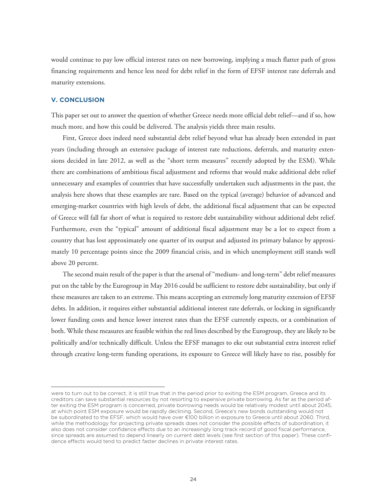would continue to pay low official interest rates on new borrowing, implying a much flatter path of gross financing requirements and hence less need for debt relief in the form of EFSF interest rate deferrals and maturity extensions.

# **V. CONCLUSION**

This paper set out to answer the question of whether Greece needs more official debt relief—and if so, how much more, and how this could be delivered. The analysis yields three main results.

First, Greece does indeed need substantial debt relief beyond what has already been extended in past years (including through an extensive package of interest rate reductions, deferrals, and maturity extensions decided in late 2012, as well as the "short term measures" recently adopted by the ESM). While there are combinations of ambitious fiscal adjustment and reforms that would make additional debt relief unnecessary and examples of countries that have successfully undertaken such adjustments in the past, the analysis here shows that these examples are rare. Based on the typical (average) behavior of advanced and emerging-market countries with high levels of debt, the additional fiscal adjustment that can be expected of Greece will fall far short of what is required to restore debt sustainability without additional debt relief. Furthermore, even the "typical" amount of additional fiscal adjustment may be a lot to expect from a country that has lost approximately one quarter of its output and adjusted its primary balance by approximately 10 percentage points since the 2009 financial crisis, and in which unemployment still stands well above 20 percent.

The second main result of the paper is that the arsenal of "medium- and long-term" debt relief measures put on the table by the Eurogroup in May 2016 could be sufficient to restore debt sustainability, but only if these measures are taken to an extreme. This means accepting an extremely long maturity extension of EFSF debts. In addition, it requires either substantial additional interest rate deferrals, or locking in significantly lower funding costs and hence lower interest rates than the EFSF currently expects, or a combination of both. While these measures are feasible within the red lines described by the Eurogroup, they are likely to be politically and/or technically difficult. Unless the EFSF manages to eke out substantial extra interest relief through creative long-term funding operations, its exposure to Greece will likely have to rise, possibly for

were to turn out to be correct, it is still true that in the period prior to exiting the ESM program, Greece and its creditors can save substantial resources by not resorting to expensive private borrowing. As far as the period after exiting the ESM program is concerned, private borrowing needs would be relatively modest until about 2045, at which point ESM exposure would be rapidly declining. Second, Greece's new bonds outstanding would not be subordinated to the EFSF, which would have over €100 billion in exposure to Greece until about 2060. Third, while the methodology for projecting private spreads does not consider the possible effects of subordination, it also does not consider confidence effects due to an increasingly long track record of good fiscal performance, since spreads are assumed to depend linearly on current debt levels (see first section of this paper). These confidence effects would tend to predict faster declines in private interest rates.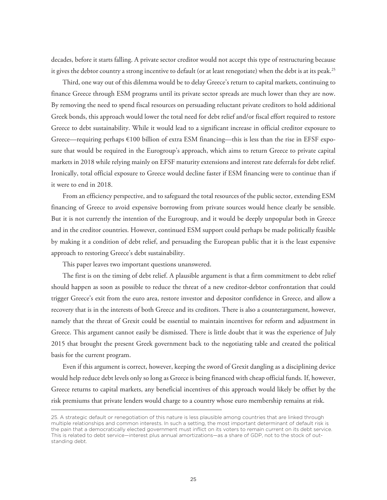decades, before it starts falling. A private sector creditor would not accept this type of restructuring because it gives the debtor country a strong incentive to default (or at least renegotiate) when the debt is at its peak.<sup>25</sup>

Third, one way out of this dilemma would be to delay Greece's return to capital markets, continuing to finance Greece through ESM programs until its private sector spreads are much lower than they are now. By removing the need to spend fiscal resources on persuading reluctant private creditors to hold additional Greek bonds, this approach would lower the total need for debt relief and/or fiscal effort required to restore Greece to debt sustainability. While it would lead to a significant increase in official creditor exposure to Greece—requiring perhaps €100 billion of extra ESM financing—this is less than the rise in EFSF exposure that would be required in the Eurogroup's approach, which aims to return Greece to private capital markets in 2018 while relying mainly on EFSF maturity extensions and interest rate deferrals for debt relief. Ironically, total official exposure to Greece would decline faster if ESM financing were to continue than if it were to end in 2018.

From an efficiency perspective, and to safeguard the total resources of the public sector, extending ESM financing of Greece to avoid expensive borrowing from private sources would hence clearly be sensible. But it is not currently the intention of the Eurogroup, and it would be deeply unpopular both in Greece and in the creditor countries. However, continued ESM support could perhaps be made politically feasible by making it a condition of debt relief, and persuading the European public that it is the least expensive approach to restoring Greece's debt sustainability.

This paper leaves two important questions unanswered.

The first is on the timing of debt relief. A plausible argument is that a firm commitment to debt relief should happen as soon as possible to reduce the threat of a new creditor-debtor confrontation that could trigger Greece's exit from the euro area, restore investor and depositor confidence in Greece, and allow a recovery that is in the interests of both Greece and its creditors. There is also a counterargument, however, namely that the threat of Grexit could be essential to maintain incentives for reform and adjustment in Greece. This argument cannot easily be dismissed. There is little doubt that it was the experience of July 2015 that brought the present Greek government back to the negotiating table and created the political basis for the current program.

Even if this argument is correct, however, keeping the sword of Grexit dangling as a disciplining device would help reduce debt levels only so long as Greece is being financed with cheap official funds. If, however, Greece returns to capital markets, any beneficial incentives of this approach would likely be offset by the risk premiums that private lenders would charge to a country whose euro membership remains at risk.

<sup>25.</sup> A strategic default or renegotiation of this nature is less plausible among countries that are linked through multiple relationships and common interests. In such a setting, the most important determinant of default risk is the pain that a democratically elected government must inflict on its voters to remain current on its debt service. This is related to debt service—interest plus annual amortizations—as a share of GDP, not to the stock of outstanding debt.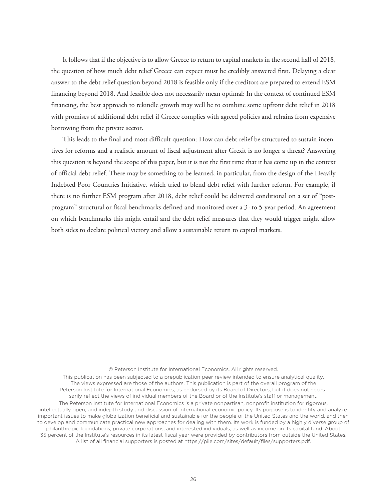It follows that if the objective is to allow Greece to return to capital markets in the second half of 2018, the question of how much debt relief Greece can expect must be credibly answered first. Delaying a clear answer to the debt relief question beyond 2018 is feasible only if the creditors are prepared to extend ESM financing beyond 2018. And feasible does not necessarily mean optimal: In the context of continued ESM financing, the best approach to rekindle growth may well be to combine some upfront debt relief in 2018 with promises of additional debt relief if Greece complies with agreed policies and refrains from expensive borrowing from the private sector.

This leads to the final and most difficult question: How can debt relief be structured to sustain incentives for reforms and a realistic amount of fiscal adjustment after Grexit is no longer a threat? Answering this question is beyond the scope of this paper, but it is not the first time that it has come up in the context of official debt relief. There may be something to be learned, in particular, from the design of the Heavily Indebted Poor Countries Initiative, which tried to blend debt relief with further reform. For example, if there is no further ESM program after 2018, debt relief could be delivered conditional on a set of "postprogram" structural or fiscal benchmarks defined and monitored over a 3- to 5-year period. An agreement on which benchmarks this might entail and the debt relief measures that they would trigger might allow both sides to declare political victory and allow a sustainable return to capital markets.

#### © Peterson Institute for International Economics. All rights reserved.

This publication has been subjected to a prepublication peer review intended to ensure analytical quality. The views expressed are those of the authors. This publication is part of the overall program of the Peterson Institute for International Economics, as endorsed by its Board of Directors, but it does not necessarily reflect the views of individual members of the Board or of the Institute's staff or management. The Peterson Institute for International Economics is a private nonpartisan, nonprofit institution for rigorous, intellectually open, and indepth study and discussion of international economic policy. Its purpose is to identify and analyze important issues to make globalization beneficial and sustainable for the people of the United States and the world, and then to develop and communicate practical new approaches for dealing with them. Its work is funded by a highly diverse group of philanthropic foundations, private corporations, and interested individuals, as well as income on its capital fund. About 35 percent of the Institute's resources in its latest fiscal year were provided by contributors from outside the United States. A list of all financial supporters is posted at https://piie.com/sites/default/files/supporters.pdf.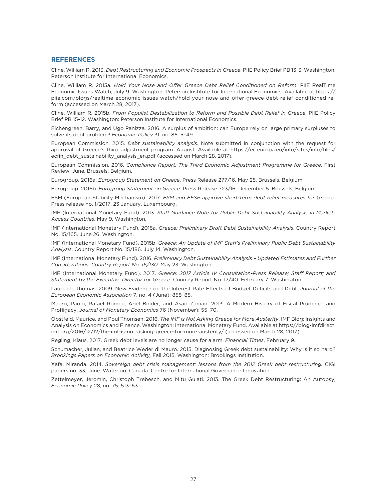#### **REFERENCES**

Cline, William R. 2013. *Debt Restructuring and Economic Prospects in Greece*. PIIE Policy Brief PB 13-3. Washington: Peterson Institute for International Economics.

Cline, William R. 2015a. *Hold Your Nose and Offer Greece Debt Relief Conditioned on Reform*. PIIE RealTime Economic Issues Watch, July 9. Washington: Peterson Institute for International Economics. Available at https:// piie.com/blogs/realtime-economic-issues-watch/hold-your-nose-and-offer-greece-debt-relief-conditioned-reform (accessed on March 28, 2017).

Cline, William R. 2015b. *From Populist Destabilization to Reform and Possible Debt Relief in Greece*. PIIE Policy Brief PB 15-12. Washington: Peterson Institute for International Economics.

Eichengreen, Barry, and Ugo Panizza. 2016. A surplus of ambition: can Europe rely on large primary surpluses to solve its debt problem? *Economic Policy* 31, no. 85: 5–49.

European Commission. 2015. *Debt sustainability analysis*. Note submitted in conjunction with the request for approval of Greece's third adjustment program. August. Available at https://ec.europa.eu/info/sites/info/files/ ecfin\_debt\_sustainability\_analysis\_en.pdf (accessed on March 28, 2017).

European Commission. 2016. *Compliance Report: The Third Economic Adjustment Programme for Greece*. First Review, June. Brussels, Belgium.

Eurogroup. 2016a. *Eurogroup Statement on Greece*. Press Release 277/16, May 25. Brussels, Belgium.

Eurogroup. 2016b. *Eurogroup Statement on Greece*. Press Release 723/16, December 5. Brussels, Belgium.

ESM (European Stability Mechanism). 2017. *ESM and EFSF approve short-term debt relief measures for Greece*. Press release no. 1/2017, 23 January. Luxembourg.

IMF (International Monetary Fund). 2013. *Staff Guidance Note for Public Debt Sustainability Analysis in Market-Access Countries*. May 9. Washington.

IMF (International Monetary Fund). 2015a. *Greece: Preliminary Draft Debt Sustainability Analysis*. Country Report No. 15/165. June 26. Washington.

IMF (International Monetary Fund). 2015b. *Greece: An Update of IMF Staff's Preliminary Public Debt Sustainability Analysis*. Country Report No. 15/186. July 14. Washington.

IMF (International Monetary Fund). 2016. *Preliminary Debt Sustainability Analysis – Updated Estimates and Further Considerations. Country Report No. 16/130*. May 23. Washington.

IMF (International Monetary Fund). 2017. *Greece: 2017 Article IV Consultation-Press Release; Staff Report; and Statement by the Executive Director for Greece*. Country Report No. 17/40. February 7. Washington.

Laubach, Thomas. 2009. New Evidence on the Interest Rate Effects of Budget Deficits and Debt. *Journal of the European Economic Association* 7, no. 4 (June): 858–85.

Mauro, Paolo, Rafael Romeu, Ariel Binder, and Asad Zaman. 2013. A Modern History of Fiscal Prudence and Profligacy. *Journal of Monetary Economics* 76 (November): 55–70.

Obstfeld, Maurice, and Poul Thomsen. 2016. *The IMF is Not Asking Greece for More Austerity*. IMF Blog: Insights and Analysis on Economics and Finance. Washington: International Monetary Fund. Available at https://blog-imfdirect. imf.org/2016/12/12/the-imf-is-not-asking-greece-for-more-austerity/ (accessed on March 28, 2017).

Regling, Klaus. 2017. Greek debt levels are no longer cause for alarm. *Financial Times*, February 9.

Schumacher, Julian, and Beatrice Weder di Mauro. 2015. Diagnosing Greek debt sustainability: Why is it so hard? *Brookings Papers on Economic Activity,* Fall 2015. Washington: Brookings Institution.

Xafa, Miranda. 2014. *Sovereign debt crisis management: lessons from the 2012 Greek debt restructuring.* CIGI papers no. 33, June. Waterloo, Canada: Centre for International Governance Innovation.

Zettelmeyer, Jeromin, Christoph Trebesch, and Mitu Gulati. 2013. The Greek Debt Restructuring: An Autopsy, *Economic Policy* 28, no. 75: 513–63.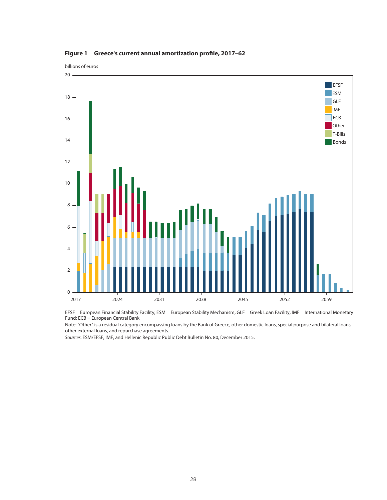

**Figure 1 Greece's current annual amortization profile, 2017–62**

EFSF = European Financial Stability Facility; ESM = European Stability Mechanism; GLF = Greek Loan Facility; IMF = International Monetary Fund; ECB = European Central Bank

Note: "Other" is a residual category encompassing loans by the Bank of Greece, other domestic loans, special purpose and bilateral loans, other external loans, and repurchase agreements.

Sources: ESM/EFSF, IMF, and Hellenic Republic Public Debt Bulletin No. 80, December 2015.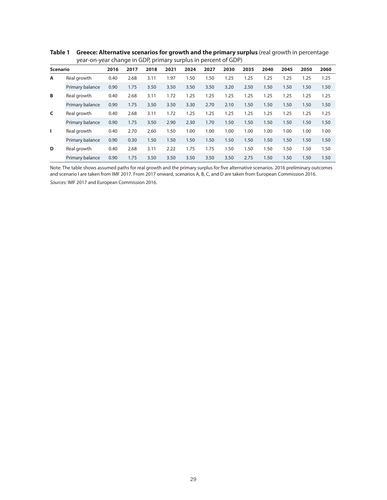|                 | $\frac{1}{2}$ , the state of the contract $\frac{1}{2}$ , $\frac{1}{2}$ , $\frac{1}{2}$ , $\frac{1}{2}$ , $\frac{1}{2}$ , $\frac{1}{2}$ , $\frac{1}{2}$ , $\frac{1}{2}$ , $\frac{1}{2}$ , $\frac{1}{2}$ , $\frac{1}{2}$ , $\frac{1}{2}$ , $\frac{1}{2}$ , $\frac{1}{2}$ , $\frac{1}{2}$ , $\frac$ |      |      |      |      |      |      |      |      |      |      |      |      |
|-----------------|---------------------------------------------------------------------------------------------------------------------------------------------------------------------------------------------------------------------------------------------------------------------------------------------------|------|------|------|------|------|------|------|------|------|------|------|------|
| <b>Scenario</b> |                                                                                                                                                                                                                                                                                                   | 2016 | 2017 | 2018 | 2021 | 2024 | 2027 | 2030 | 2035 | 2040 | 2045 | 2050 | 2060 |
| A               | Real growth                                                                                                                                                                                                                                                                                       | 0.40 | 2.68 | 3.11 | 1.97 | 1.50 | 1.50 | 1.25 | 1.25 | 1.25 | 1.25 | 1.25 | 1.25 |
|                 | Primary balance                                                                                                                                                                                                                                                                                   | 0.90 | 1.75 | 3.50 | 3.50 | 3.50 | 3.50 | 3.20 | 2.50 | 1.50 | 1.50 | 1.50 | 1.50 |
| В               | Real growth                                                                                                                                                                                                                                                                                       | 0.40 | 2.68 | 3.11 | 1.72 | 1.25 | 1.25 | 1.25 | 1.25 | 1.25 | 1.25 | 1.25 | 1.25 |
|                 | Primary balance                                                                                                                                                                                                                                                                                   | 0.90 | 1.75 | 3.50 | 3.50 | 3.30 | 2.70 | 2.10 | 1.50 | 1.50 | 1.50 | 1.50 | 1.50 |
| C               | Real growth                                                                                                                                                                                                                                                                                       | 0.40 | 2.68 | 3.11 | 1.72 | 1.25 | 1.25 | 1.25 | 1.25 | 1.25 | 1.25 | 1.25 | 1.25 |
|                 | Primary balance                                                                                                                                                                                                                                                                                   | 0.90 | 1.75 | 3.50 | 2.90 | 2.30 | 1.70 | 1.50 | 1.50 | 1.50 | 1.50 | 1.50 | 1.50 |
| п               | Real growth                                                                                                                                                                                                                                                                                       | 0.40 | 2.70 | 2.60 | 1.50 | 1.00 | 1.00 | 1.00 | 1.00 | 1.00 | 1.00 | 1.00 | 1.00 |
|                 | Primary balance                                                                                                                                                                                                                                                                                   | 0.90 | 0.30 | 1.50 | 1.50 | 1.50 | 1.50 | 1.50 | 1.50 | 1.50 | 1.50 | 1.50 | 1.50 |
| D               | Real growth                                                                                                                                                                                                                                                                                       | 0.40 | 2.68 | 3.11 | 2.22 | 1.75 | 1.75 | 1.50 | 1.50 | 1.50 | 1.50 | 1.50 | 1.50 |
|                 | Primary balance                                                                                                                                                                                                                                                                                   | 0.90 | 1.75 | 3.50 | 3.50 | 3.50 | 3.50 | 3.50 | 2.75 | 1.50 | 1.50 | 1.50 | 1.50 |

**Table 1 Greece: Alternative scenarios for growth and the primary surplus** (real growth in percentage year-on-year change in GDP, primary surplus in percent of GDP)

Note: The table shows assumed paths for real growth and the primary surplus for five alternative scenarios. 2016 preliminary outcomes and scenario I are taken from IMF 2017. From 2017 onward, scenarios A, B, C, and D are taken from European Commission 2016.

Sources: IMF 2017 and European Commission 2016.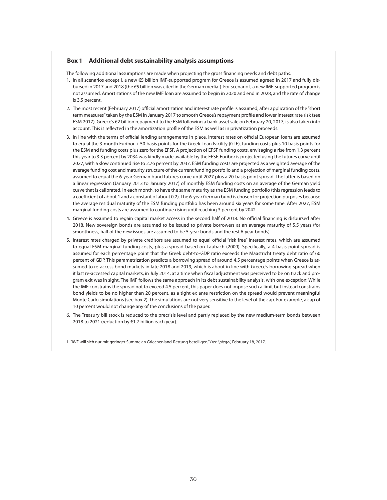#### **Box 1 Additional debt sustainability analysis assumptions**

The following additional assumptions are made when projecting the gross financing needs and debt paths:

- 1. In all scenarios except I, a new €5 billion IMF-supported program for Greece is assumed agreed in 2017 and fully disbursed in 2017 and 2018 (the €5 billion was cited in the German media<sup>1</sup>). For scenario I, a new IMF-supported program is not assumed. Amortizations of the new IMF loan are assumed to begin in 2020 and end in 2028, and the rate of change is 3.5 percent.
- 2. The most recent (February 2017) official amortization and interest rate profile is assumed, after application of the "short term measures" taken by the ESM in January 2017 to smooth Greece's repayment profile and lower interest rate risk (see ESM 2017). Greece's €2 billion repayment to the ESM following a bank asset sale on February 20, 2017, is also taken into account. This is reflected in the amortization profile of the ESM as well as in privatization proceeds.
- 3. In line with the terms of official lending arrangements in place, interest rates on official European loans are assumed to equal the 3-month Euribor + 50 basis points for the Greek Loan Facility (GLF), funding costs plus 10 basis points for the ESM and funding costs plus zero for the EFSF. A projection of EFSF funding costs, envisaging a rise from 1.3 percent this year to 3.3 percent by 2034 was kindly made available by the EFSF. Euribor is projected using the futures curve until 2027, with a slow continued rise to 2.76 percent by 2037. ESM funding costs are projected as a weighted average of the average funding cost and maturity structure of the current funding portfolio and a projection of marginal funding costs, assumed to equal the 6-year German bund futures curve until 2027 plus a 20-basis point spread. The latter is based on a linear regression (January 2013 to January 2017) of monthly ESM funding costs on an average of the German yield curve that is calibrated, in each month, to have the same maturity as the ESM funding portfolio (this regression leads to a coefficient of about 1 and a constant of about 0.2). The 6-year German bund is chosen for projection purposes because the average residual maturity of the ESM funding portfolio has been around six years for some time. After 2027, ESM marginal funding costs are assumed to continue rising until reaching 3 percent by 2042.
- 4. Greece is assumed to regain capital market access in the second half of 2018. No official financing is disbursed after 2018. New sovereign bonds are assumed to be issued to private borrowers at an average maturity of 5.5 years (for smoothness, half of the new issues are assumed to be 5-year bonds and the rest 6-year bonds).
- 5. Interest rates charged by private creditors are assumed to equal official "risk free" interest rates, which are assumed to equal ESM marginal funding costs, plus a spread based on Laubach (2009). Specifically, a 4-basis point spread is assumed for each percentage point that the Greek debt-to-GDP ratio exceeds the Maastricht treaty debt ratio of 60 percent of GDP. This parametrization predicts a borrowing spread of around 4.5 percentage points when Greece is assumed to re-access bond markets in late 2018 and 2019, which is about in line with Greece's borrowing spread when it last re-accessed capital markets, in July 2014, at a time when fiscal adjustment was perceived to be on track and program exit was in sight. The IMF follows the same approach in its debt sustainability analysis, with one exception: While the IMF constrains the spread not to exceed 4.5 percent, this paper does not impose such a limit but instead constrains bond yields to be no higher than 20 percent, as a tight ex ante restriction on the spread would prevent meaningful Monte Carlo simulations (see box 2). The simulations are not very sensitive to the level of the cap. For example, a cap of 10 percent would not change any of the conclusions of the paper.
- 6. The Treasury bill stock is reduced to the precrisis level and partly replaced by the new medium-term bonds between 2018 to 2021 (reduction by €1.7 billion each year).

<sup>1. &</sup>quot;IWF will sich nur mit geringer Summe an Griechenland-Rettung beteiligen," *Der Spiegel*, February 18, 2017.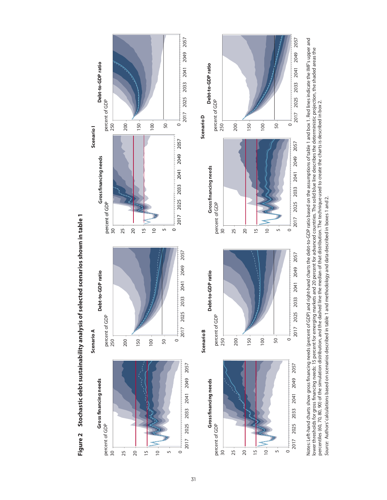





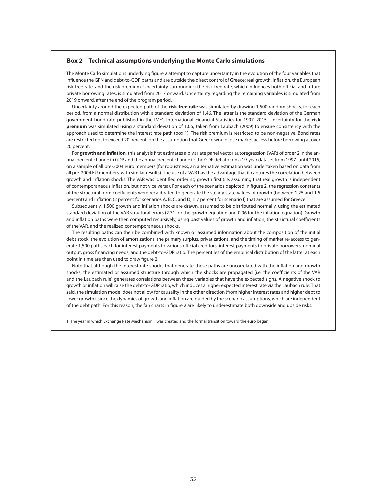#### **Box 2 Technical assumptions underlying the Monte Carlo simulations**

The Monte Carlo simulations underlying figure 2 attempt to capture uncertainty in the evolution of the four variables that influence the GFN and debt-to-GDP paths and are outside the direct control of Greece: real growth, inflation, the European risk-free rate, and the risk premium. Uncertainty surrounding the risk-free rate, which influences both official and future private borrowing rates, is simulated from 2017 onward. Uncertainty regarding the remaining variables is simulated from 2019 onward, after the end of the program period.

Uncertainty around the expected path of the **risk-free rate** was simulated by drawing 1,500 random shocks, for each period, from a normal distribution with a standard deviation of 1.46. The latter is the standard deviation of the German government bond rate published in the IMF's International Financial Statistics for 1997–2015. Uncertainty for the **risk premium** was simulated using a standard deviation of 1.06, taken from Laubach (2009) to ensure consistency with the approach used to determine the interest rate path (box 1). The risk premium is restricted to be non-negative. Bond rates are restricted not to exceed 20 percent, on the assumption that Greece would lose market access before borrowing at over 20 percent.

For **growth and inflation**, this analysis first estimates a bivariate panel vector autoregression (VAR) of order 2 in the annual percent change in GDP and the annual percent change in the GDP deflator on a 19-year dataset from 1997<sup>1</sup> until 2015, on a sample of all pre-2004 euro members (for robustness, an alternative estimation was undertaken based on data from all pre-2004 EU members, with similar results). The use of a VAR has the advantage that it captures the correlation between growth and inflation shocks. The VAR was identified ordering growth first (i.e. assuming that real growth is independent of contemporaneous inflation, but not vice versa). For each of the scenarios depicted in figure 2, the regression constants of the structural form coefficients were recalibrated to generate the steady state values of growth (between 1.25 and 1.5 percent) and inflation (2 percent for scenarios A, B, C, and D; 1.7 percent for scenario I) that are assumed for Greece.

Subsequently, 1,500 growth and inflation shocks are drawn, assumed to be distributed normally, using the estimated standard deviation of the VAR structural errors (2.31 for the growth equation and 0.96 for the inflation equation). Growth and inflation paths were then computed recursively, using past values of growth and inflation, the structural coefficients of the VAR, and the realized contemporaneous shocks.

The resulting paths can then be combined with known or assumed information about the composition of the initial debt stock, the evolution of amortizations, the primary surplus, privatizations, and the timing of market re-access to generate 1,500 paths each for interest payments to various official creditors, interest payments to private borrowers, nominal output, gross financing needs, and the debt-to-GDP ratio. The percentiles of the empirical distribution of the latter at each point in time are then used to draw figure 2.

Note that although the interest rate shocks that generate these paths are uncorrelated with the inflation and growth shocks, the estimated or assumed structure through which the shocks are propagated (i.e. the coefficients of the VAR and the Laubach rule) generates correlations between these variables that have the expected signs. A negative shock to growth or inflation will raise the debt-to-GDP ratio, which induces a higher expected interest rate via the Laubach rule. That said, the simulation model does not allow for causality in the other direction (from higher interest rates and higher debt to lower growth), since the dynamics of growth and inflation are guided by the scenario assumptions, which are independent of the debt path. For this reason, the fan charts in figure 2 are likely to underestimate both downside and upside risks.

1. The year in which Exchange Rate Mechanism II was created and the formal transition toward the euro began.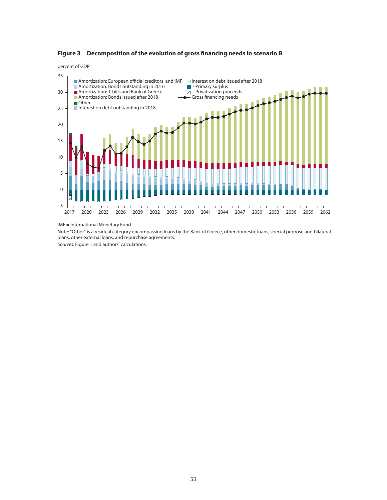

percent of GDP



IMF = International Monetary Fund

Note: "Other" is a residual category encompassing loans by the Bank of Greece, other domestic loans, special purpose and bilateral loans, other external loans, and repurchase agreements.

Sources: Figure 1 and authors' calculations.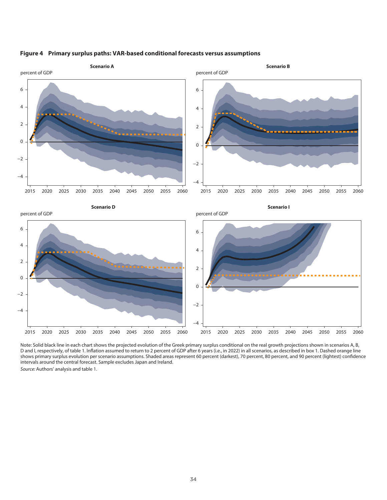

#### **Figure 4 Primary surplus paths: VAR-based conditional forecasts versus assumptions**

Note: Solid black line in each chart shows the projected evolution of the Greek primary surplus conditional on the real growth projections shown in scenarios A, B, D and I, respectively, of table 1. Inflation assumed to return to 2 percent of GDP after 6 years (i.e., in 2022) in all scenarios, as described in box 1. Dashed orange line shows primary surplus evolution per scenario assumptions. Shaded areas represent 60 percent (darkest), 70 percent, 80 percent, and 90 percent (lightest) confidence intervals around the central forecast. Sample excludes Japan and Ireland.

Source: Authors' analysis and table 1.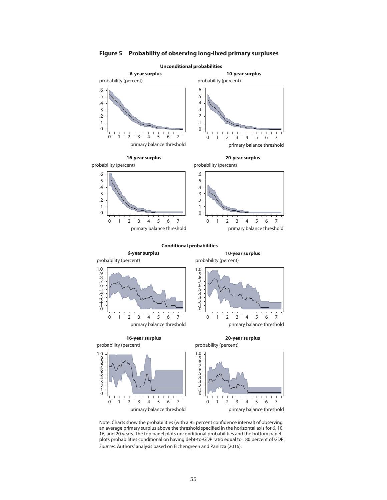

**Figure 5 Probability of observing long-lived primary surpluses**

Note: Charts show the probabilities (with a 95 percent confidence interval) of observing an average primary surplus above the threshold specified in the horizontal axis for 6, 10, 16, and 20 years. The top panel plots unconditional probabilities and the bottom panel plots probabilities conditional on having debt-to-GDP ratio equal to 180 percent of GDP. Sources: Authors' analysis based on Eichengreen and Panizza (2016).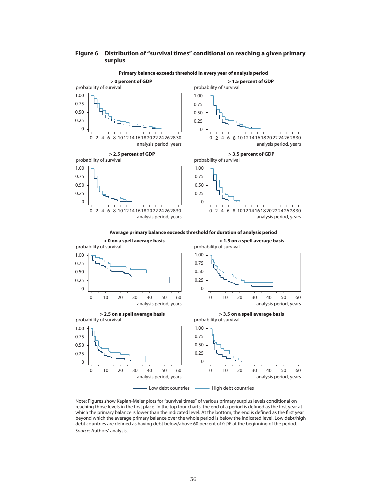#### **Figure 6 Distribution of "survival times" conditional on reaching a given primary surplus**



Note: Figures show Kaplan-Meier plots for "survival times" of various primary surplus levels conditional on reaching those levels in the first place. In the top four charts the end of a period is defined as the first year at which the primary balance is lower than the indicated level. At the bottom, the end is defined as the first year beyond which the average primary balance over the whole period is below the indicated level. Low debt/high debt countries are defined as having debt below/above 60 percent of GDP at the beginning of the period. Source: Authors' analysis.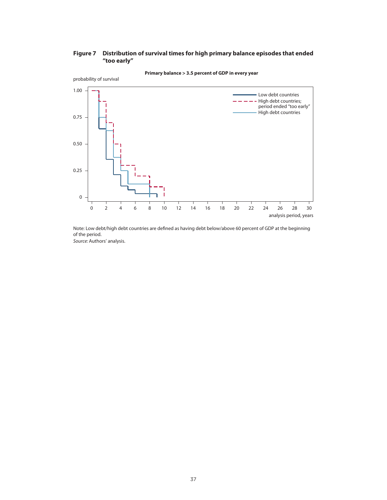# **Figure 7 Distribution of survival times for high primary balance episodes that ended "too early"**



**Primary balance > 3.5 percent of GDP in every year**

Note: Low debt/high debt countries are defined as having debt below/above 60 percent of GDP at the beginning of the period.

Source: Authors' analysis.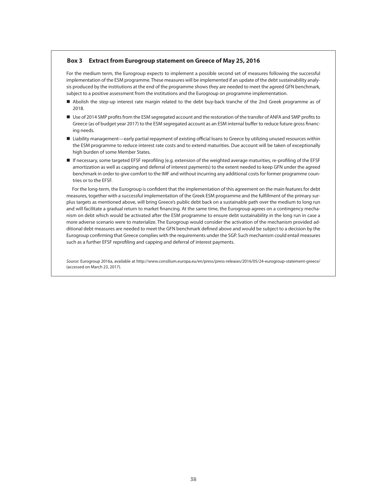#### **Box 3 Extract from Eurogroup statement on Greece of May 25, 2016**

For the medium term, the Eurogroup expects to implement a possible second set of measures following the successful implementation of the ESM programme. These measures will be implemented if an update of the debt sustainability analysis produced by the institutions at the end of the programme shows they are needed to meet the agreed GFN benchmark, subject to a positive assessment from the institutions and the Eurogroup on programme implementation.

- Abolish the step-up interest rate margin related to the debt buy-back tranche of the 2nd Greek programme as of 2018.
- Use of 2014 SMP profits from the ESM segregated account and the restoration of the transfer of ANFA and SMP profits to Greece (as of budget year 2017) to the ESM segregated account as an ESM internal buffer to reduce future gross financing needs.
- Liability management—early partial repayment of existing official loans to Greece by utilizing unused resources within the ESM programme to reduce interest rate costs and to extend maturities. Due account will be taken of exceptionally high burden of some Member States.
- If necessary, some targeted EFSF reprofiling (e.g. extension of the weighted average maturities, re-profiling of the EFSF amortization as well as capping and deferral of interest payments) to the extent needed to keep GFN under the agreed benchmark in order to give comfort to the IMF and without incurring any additional costs for former programme countries or to the EFSF.

For the long-term, the Eurogroup is confident that the implementation of this agreement on the main features for debt measures, together with a successful implementation of the Greek ESM programme and the fulfillment of the primary surplus targets as mentioned above, will bring Greece's public debt back on a sustainable path over the medium to long run and will facilitate a gradual return to market financing. At the same time, the Eurogroup agrees on a contingency mechanism on debt which would be activated after the ESM programme to ensure debt sustainability in the long run in case a more adverse scenario were to materialize. The Eurogroup would consider the activation of the mechanism provided additional debt measures are needed to meet the GFN benchmark defined above and would be subject to a decision by the Eurogroup confirming that Greece complies with the requirements under the SGP. Such mechanism could entail measures such as a further EFSF reprofiling and capping and deferral of interest payments.

Source: Eurogroup 2016a, available at http://www.consilium.europa.eu/en/press/press-releases/2016/05/24-eurogroup-statement-greece/ (accessed on March 23, 2017).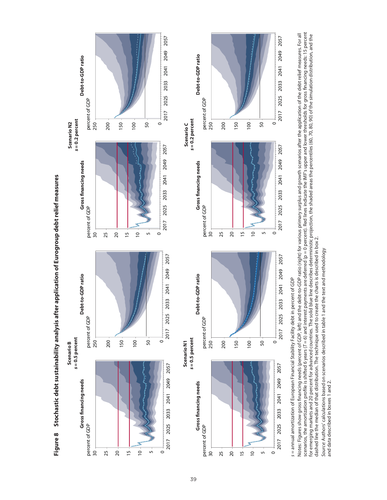2057 2017 2025 2033 2041 2049 2057 2041 2049 Debt-to-GDP ratio Debt-to-GDP ratio **Gross financing needs Debt-to-GDP ratio Gross financing needs Debt-to-GDP ratio** 2033 2025 percent of GDP  $\overline{250}$ percent of GDP percent of GDP percent of GDP 2017 s = 0.2 percent s = 0.2 percent **= 0.2 percent = 0.2 percent** Scenario N2 200 150 100 50 250 200 150 100 50 **Scenario N2** Scenario C  $\circ$ **Scenario C** 2057 2017 2025 2033 2041 2049 2057 2049 **Gross financing needs** Gross financing needs 2041 Figure 8 Stochastic debt sustainability analysis after application of Eurogroup debt relief measures **Figure 8 Stochastic debt sustainability analysis after application of Eurogroup debt relief measures** 2033 percent of GDP<br> $\frac{30}{1}$ percent of GDP<br> $\frac{30}{1}$ 2025 percent of GDP percent of GDP 2017 25 20 15  $\overline{a}$ 25 20 15  $\overline{c}$ სე տ  $\circ$ 2057 2017 2025 2033 2041 2049 2057 2017 2025 2033 2041 2049 Debt-to-GDP ratio **Gross financing needs Debt-to-GDP ratio** Debt-to-GDP ratio **Gross financing needs Debt-to-GDP ratio**percent of GDP<br> $250$ percent of GDP percent of GDP percent of GDP s=0.5 percent s = 0.5 percent **= 0.5 percent = 0.5 percent** 200  $\circ$ 250 150 100 50 200 150 100 50 **Scenario B Scenario N1 Scenario N1 Scenario B** 2057 2017 2025 2033 2041 2049 2057 2049 Gross financing needs Gross financing needs 2041 2033  $\frac{percent\ of\ GDP}{30}$ 2017 2025 percent of GDP percent of GDP percent of GDP  $\overline{0}$ 20 15 25 30 25 20 15  $\approx$ տ  $\circ$ სე

s = annual amortization of European Financial Stability Facility debt in percent of GDP s = annual amortization of European Financial Stability Facility debt in percent of GDP

 $\circ$ 

2033

2017 2025

2041

2057

2049

 $\circ$ 

2057

scenarios, the amortization profile is shifted 6 years (7 = 6) and interest payments are deferred (p = 0 percent). Red lines indicate the IMF's upper and lower thresholds for gross financing needs: 15 percent<br>for emerging Notes: Figures show gross financing needs (percent of GDP, left) and the debt-to-GDP ratio (right) for various primary surplus and growth scenarios after the application of the debt relief measures. For all scenarios, the amortization profile is shifted 6 years (T = 6) and interest payments are deferred (p = 0 percent). Red lines indicate the IMF's upper and lower thresholds for gross financing needs: 15 percent for emerging markets and 20 percent for advanced countries. The solid blue line describes deterministic projection, the shaded areas the percentiles (60, 70, 80, 90) of the simulation distribution, and the Notes: Figures show gross financing needs (percent of GDP, left) and the debt-to-GDP ratio (right) for various primary surplus and growth scenarios after the application of the debt relief measures. For all dashed line the median of that distribution. The technique used to create the charts is described in box 2. dashed line the median of that distribution. The technique used to create the charts is described in box 2.

 $\circ$ 

2017 2025 2033

2041

2057

2049

 $\circ$ 

Source: Authors' calculations based on scenarios described in table 1 and the text and methodology Source: Authors' calculations based on scenarios described in table 1 and the text and methodology and data described in boxes 1 and 2. and data described in boxes 1 and 2.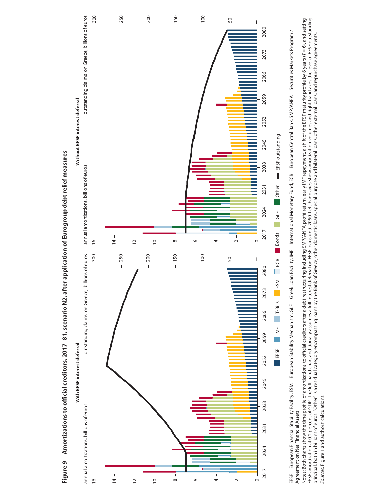

Figure 9 Amortizations to official creditors, 2017-81, scenario N2, after application of Eurogroup debt relief measures **Figure 9 Amortizations to official creditors, 2017–81, scenario N2, after application of Eurogroup debt relief measures**

EFSF = European Financial Stability Facility; ESM = European Stability Mechanism; GLF = Greek Loan Facility; IMF = International Monetary Fund; ECB = European Central Bank; SMP/ANFA = Securities Markets Program / EFSF = European Financial Stability, Facility, ESM = European Stability Mechanism; GLF = Greek Loan Facility; IMF = International Monetary Fund; ECB = European Central Bank; SMP/ANFA = Securities Markets Program / Agreement on Net Financial Assets Agreement on Net Financial Assets Notes: Both charts show the time profile of amortizations to official creditors after a debt restructuring including SMP/ANFA profit return, early IMF repayment, a shift of the EFSF maturity profile by 6 years (7 = 6), and EFSF amortization at 0.2 percent of GDP. The left-hand chart additionally assumes a full interest deferral on EFSF loans until 2050. Left-hand axes show amortization volumes and right-hand axes the level of EFSF outstanding Notes: Both charts show the time profile of amortizations to official creditors after a debt restructuring including SMP/ANFA profit return, early IMF repayment, a shift of the EFSF maturity profile by 6 years (7 = 6), an principal, both in billions of euros. "Other" is a residual category encompassing loans by the Bank of Greece, other domestic loans, special purpose and bilateral loans, other external loans, and repurchase agreements. Sources: Figure 1 and authors' calculations. Sources: Figure 1 and authors' calculations.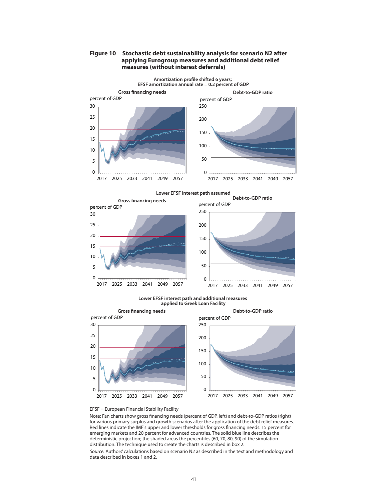

# **Figure 10 Stochastic debt sustainability analysis for scenario N2 after applying Eurogroup measures and additional debt relief measures (without interest deferrals)**



Note: Fan charts show gross financing needs (percent of GDP, left) and debt-to-GDP ratios (right) for various primary surplus and growth scenarios after the application of the debt relief measures. Red lines indicate the IMF's upper and lower thresholds for gross financing needs: 15 percent for emerging markets and 20 percent for advanced countries. The solid blue line describes the deterministic projection; the shaded areas the percentiles (60, 70, 80, 90) of the simulation distribution. The technique used to create the charts is described in box 2.

Source: Authors' calculations based on scenario N2 as described in the text and methodology and data described in boxes 1 and 2.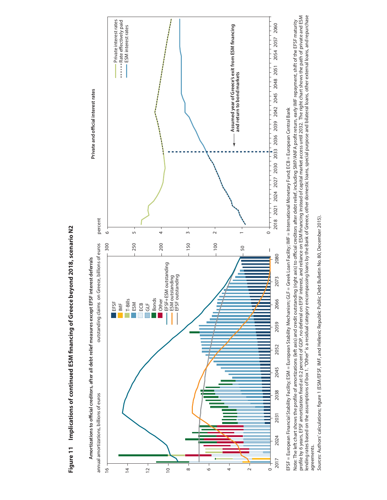

Figure 11 Implications of continued ESM financing of Greece beyond 2018, scenario N2 **Figure 11 Implications of continued ESM financing of Greece beyond 2018, scenario N2** EFSF = European Financial Stability Facility; ESM = European Stability Mechanism; GLF = Greek Loan Facility; IMF = International Monetary Fund; ECB = European Central Bank EFSF = European Financial Stability Facility; ESM = European Stability Mechanism; GLF = Greek Loan Facility; IMF = International Monetary Fund; ECB = European Central Bank

Note: The left chart shows the profile of amortizations (left axis) and credit outstanding (right axis) to official creditors after debt relief, including SMP/ANFA profit retum, early IMF repayment, shift of the EFSF matur profile by 6 years, EFSF amortization fixed at 0.2 percent of GDP, no deferral on EFSF interest, and reliance on ESM financing instead of capital market access until 2032. The right chart shows the path of private and ESM lending rates based on the assumptions of box 1. "Other" is a residual category encompassing loans by the Bank of Greece, other domestic loans, special purpose and bilateral loans, other external loans, and repurchase Note: The left chart shows the profile of amortizations (left axis) and credit outstanding (right axis) to official creditors after debt relief, including SMP/ANFA profit return, early IMF repayment, shift of the EFSF matu agreements. agreements.

Sources: Authors' calculations; figure 1 (ESM/EFSF, IMF, and Hellenic Republic Public Debt Bulletin No. 80, December 2015). Sources: Authors' calculations; figure 1 (ESM/EFSF, IMF, and Hellenic Republic Public Debt Bulletin No. 80, December 2015).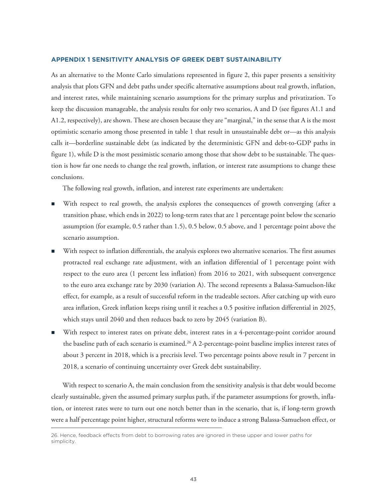#### **APPENDIX 1 SENSITIVITY ANALYSIS OF GREEK DEBT SUSTAINABILITY**

As an alternative to the Monte Carlo simulations represented in figure 2, this paper presents a sensitivity analysis that plots GFN and debt paths under specific alternative assumptions about real growth, inflation, and interest rates, while maintaining scenario assumptions for the primary surplus and privatization. To keep the discussion manageable, the analysis results for only two scenarios, A and D (see figures A1.1 and A1.2, respectively), are shown. These are chosen because they are "marginal," in the sense that A is the most optimistic scenario among those presented in table 1 that result in unsustainable debt or—as this analysis calls it—borderline sustainable debt (as indicated by the deterministic GFN and debt-to-GDP paths in figure 1), while D is the most pessimistic scenario among those that show debt to be sustainable. The question is how far one needs to change the real growth, inflation, or interest rate assumptions to change these conclusions.

The following real growth, inflation, and interest rate experiments are undertaken:

- With respect to real growth, the analysis explores the consequences of growth converging (after a transition phase, which ends in 2022) to long-term rates that are 1 percentage point below the scenario assumption (for example, 0.5 rather than 1.5), 0.5 below, 0.5 above, and 1 percentage point above the scenario assumption.
- With respect to inflation differentials, the analysis explores two alternative scenarios. The first assumes protracted real exchange rate adjustment, with an inflation differential of 1 percentage point with respect to the euro area (1 percent less inflation) from 2016 to 2021, with subsequent convergence to the euro area exchange rate by 2030 (variation A). The second represents a Balassa-Samuelson-like effect, for example, as a result of successful reform in the tradeable sectors. After catching up with euro area inflation, Greek inflation keeps rising until it reaches a 0.5 positive inflation differential in 2025, which stays until 2040 and then reduces back to zero by 2045 (variation B).
- With respect to interest rates on private debt, interest rates in a 4-percentage-point corridor around the baseline path of each scenario is examined.<sup>26</sup> A 2-percentage-point baseline implies interest rates of about 3 percent in 2018, which is a precrisis level. Two percentage points above result in 7 percent in 2018, a scenario of continuing uncertainty over Greek debt sustainability.

With respect to scenario A, the main conclusion from the sensitivity analysis is that debt would become clearly sustainable, given the assumed primary surplus path, if the parameter assumptions for growth, inflation, or interest rates were to turn out one notch better than in the scenario, that is, if long-term growth were a half percentage point higher, structural reforms were to induce a strong Balassa-Samuelson effect, or

<sup>26.</sup> Hence, feedback effects from debt to borrowing rates are ignored in these upper and lower paths for simplicity.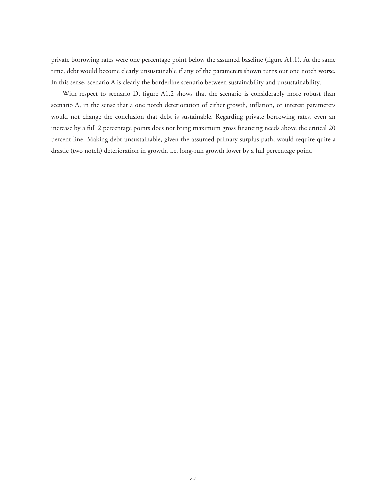private borrowing rates were one percentage point below the assumed baseline (figure A1.1). At the same time, debt would become clearly unsustainable if any of the parameters shown turns out one notch worse. In this sense, scenario A is clearly the borderline scenario between sustainability and unsustainability.

With respect to scenario D, figure A1.2 shows that the scenario is considerably more robust than scenario A, in the sense that a one notch deterioration of either growth, inflation, or interest parameters would not change the conclusion that debt is sustainable. Regarding private borrowing rates, even an increase by a full 2 percentage points does not bring maximum gross financing needs above the critical 20 percent line. Making debt unsustainable, given the assumed primary surplus path, would require quite a drastic (two notch) deterioration in growth, i.e. long-run growth lower by a full percentage point.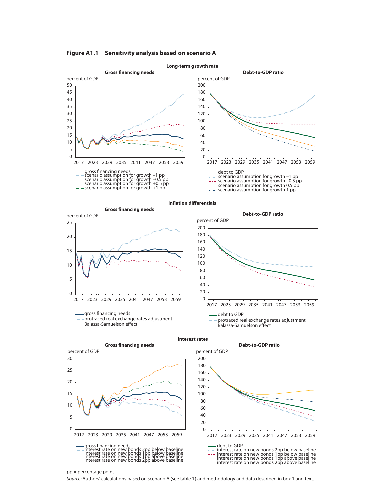

#### **Figure A1.1 Sensitivity analysis based on scenario A**

**Inflation differentials**





pp = percentage point

Source: Authors' calculations based on scenario A (see table 1) and methodology and data described in box 1 and text.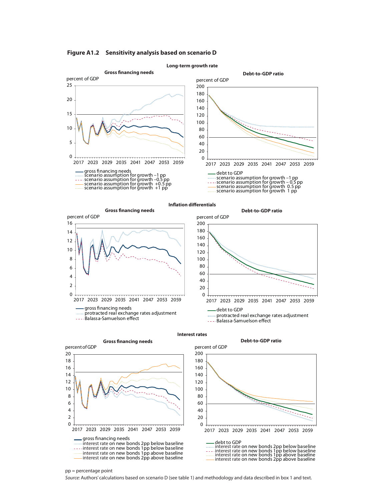**Long-term growth rate Gross financing needs Debt-to-GDP ratio**  $\Omega$  2017 2023 2029 2035 2041 2047 2053 2059 percent of GDP percent of GDP





**Inflation differentials**



**Interest rates**



**Gross financing needs Debt-to-GDP ratio**



#### pp = percentage point

Source: Authors' calculations based on scenario D (see table 1) and methodology and data described in box 1 and text.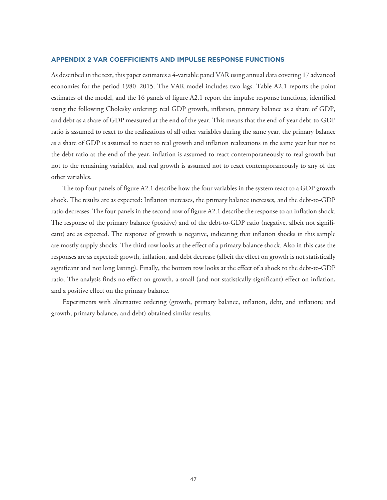#### **APPENDIX 2 VAR COEFFICIENTS AND IMPULSE RESPONSE FUNCTIONS**

As described in the text, this paper estimates a 4-variable panel VAR using annual data covering 17 advanced economies for the period 1980–2015. The VAR model includes two lags. Table A2.1 reports the point estimates of the model, and the 16 panels of figure A2.1 report the impulse response functions, identified using the following Cholesky ordering: real GDP growth, inflation, primary balance as a share of GDP, and debt as a share of GDP measured at the end of the year. This means that the end-of-year debt-to-GDP ratio is assumed to react to the realizations of all other variables during the same year, the primary balance as a share of GDP is assumed to react to real growth and inflation realizations in the same year but not to the debt ratio at the end of the year, inflation is assumed to react contemporaneously to real growth but not to the remaining variables, and real growth is assumed not to react contemporaneously to any of the other variables.

The top four panels of figure A2.1 describe how the four variables in the system react to a GDP growth shock. The results are as expected: Inflation increases, the primary balance increases, and the debt-to-GDP ratio decreases. The four panels in the second row of figure A2.1 describe the response to an inflation shock. The response of the primary balance (positive) and of the debt-to-GDP ratio (negative, albeit not significant) are as expected. The response of growth is negative, indicating that inflation shocks in this sample are mostly supply shocks. The third row looks at the effect of a primary balance shock. Also in this case the responses are as expected: growth, inflation, and debt decrease (albeit the effect on growth is not statistically significant and not long lasting). Finally, the bottom row looks at the effect of a shock to the debt-to-GDP ratio. The analysis finds no effect on growth, a small (and not statistically significant) effect on inflation, and a positive effect on the primary balance.

Experiments with alternative ordering (growth, primary balance, inflation, debt, and inflation; and growth, primary balance, and debt) obtained similar results.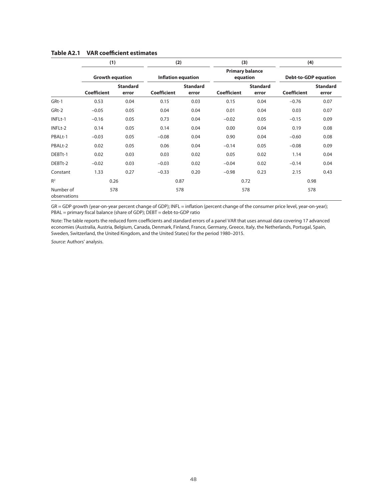|                           | (1)                    |                          | (2)                       |                          | (3)                                |                          | (4)                         |                          |  |
|---------------------------|------------------------|--------------------------|---------------------------|--------------------------|------------------------------------|--------------------------|-----------------------------|--------------------------|--|
|                           | <b>Growth equation</b> |                          | <b>Inflation equation</b> |                          | <b>Primary balance</b><br>equation |                          | <b>Debt-to-GDP equation</b> |                          |  |
|                           | <b>Coefficient</b>     | <b>Standard</b><br>error | <b>Coefficient</b>        | <b>Standard</b><br>error | <b>Coefficient</b>                 | <b>Standard</b><br>error | <b>Coefficient</b>          | <b>Standard</b><br>error |  |
| GRt-1                     | 0.53                   | 0.04                     | 0.15                      | 0.03                     | 0.15                               | 0.04                     | $-0.76$                     | 0.07                     |  |
| GRt-2                     | $-0.05$                | 0.05                     | 0.04                      | 0.04                     | 0.01                               | 0.04                     | 0.03                        | 0.07                     |  |
| INFLt-1                   | $-0.16$                | 0.05                     | 0.73                      | 0.04                     | $-0.02$                            | 0.05                     | $-0.15$                     | 0.09                     |  |
| INFLt-2                   | 0.14                   | 0.05                     | 0.14                      | 0.04                     | 0.00                               | 0.04                     | 0.19                        | 0.08                     |  |
| PBALt-1                   | $-0.03$                | 0.05                     | $-0.08$                   | 0.04                     | 0.90                               | 0.04                     | $-0.60$                     | 0.08                     |  |
| PBALt-2                   | 0.02                   | 0.05                     | 0.06                      | 0.04                     | $-0.14$                            | 0.05                     | $-0.08$                     | 0.09                     |  |
| DEBTt-1                   | 0.02                   | 0.03                     | 0.03                      | 0.02                     | 0.05                               | 0.02                     | 1.14                        | 0.04                     |  |
| DEBTt-2                   | $-0.02$                | 0.03                     | $-0.03$                   | 0.02                     | $-0.04$                            | 0.02                     | $-0.14$                     | 0.04                     |  |
| Constant                  | 1.33                   | 0.27                     | $-0.33$                   | 0.20                     | $-0.98$                            | 0.23                     | 2.15                        | 0.43                     |  |
| R <sup>2</sup>            | 0.26                   |                          |                           | 0.87                     |                                    | 0.72                     | 0.98                        |                          |  |
| Number of<br>observations | 578                    |                          |                           | 578                      |                                    | 578                      | 578                         |                          |  |

# **Table A2.1 VAR coefficient estimates**

GR = GDP growth (year-on-year percent change of GDP); INFL = inflation (percent change of the consumer price level, year-on-year); PBAL = primary fiscal balance (share of GDP); DEBT = debt-to-GDP ratio

Note: The table reports the reduced form coefficients and standard errors of a panel VAR that uses annual data covering 17 advanced economies (Australia, Austria, Belgium, Canada, Denmark, Finland, France, Germany, Greece, Italy, the Netherlands, Portugal, Spain, Sweden, Switzerland, the United Kingdom, and the United States) for the period 1980–2015.

Source: Authors' analysis.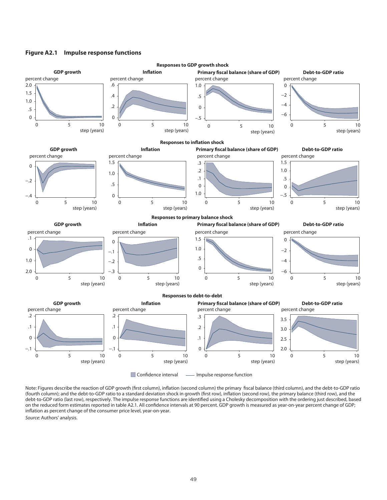#### **Figure A2.1 Impulse response functions**



Note: Figures describe the reaction of GDP growth (first column), inflation (second column) the primary fiscal balance (third column), and the debt-to-GDP ratio (fourth column); and the debt-to-GDP ratio to a standard deviation shock in growth (first row), inflation (second row), the primary balance (third row), and the debt-to-GDP ratio (last row), respectively. The impulse response functions are identified using a Cholesky decomposition with the ordering just described, based on the reduced form estimates reported in table A2.1. All confidence intervals at 90 percent. GDP growth is measured as year-on-year percent change of GDP; inflation as percent change of the consumer price level, year-on-year.

Source: Authors' analysis.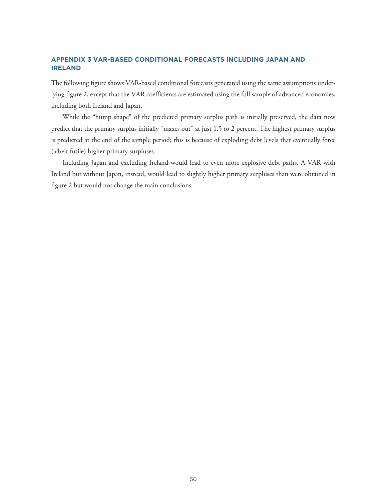# **APPENDIX 3 VAR-BASED CONDITIONAL FORECASTS INCLUDING JAPAN AND IRELAND**

The following figure shows VAR-based conditional forecasts generated using the same assumptions underlying figure 2, except that the VAR coefficients are estimated using the full sample of advanced economies, including both Ireland and Japan.

While the "hump shape" of the predicted primary surplus path is initially preserved, the data now predict that the primary surplus initially "maxes out" at just 1.5 to 2 percent. The highest primary surplus is predicted at the end of the sample period; this is because of exploding debt levels that eventually force (albeit futile) higher primary surpluses.

Including Japan and excluding Ireland would lead to even more explosive debt paths. A VAR with Ireland but without Japan, instead, would lead to slightly higher primary surpluses than were obtained in figure 2 but would not change the main conclusions.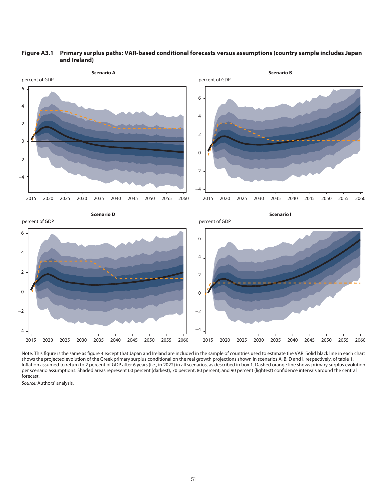



Note: This figure is the same as figure 4 except that Japan and Ireland are included in the sample of countries used to estimate the VAR. Solid black line in each chart shows the projected evolution of the Greek primary surplus conditional on the real growth projections shown in scenarios A, B, D and I, respectively, of table 1. Inflation assumed to return to 2 percent of GDP after 6 years (i.e., in 2022) in all scenarios, as described in box 1. Dashed orange line shows primary surplus evolution per scenario assumptions. Shaded areas represent 60 percent (darkest), 70 percent, 80 percent, and 90 percent (lightest) confidence intervals around the central forecast.

Source: Authors' analysis.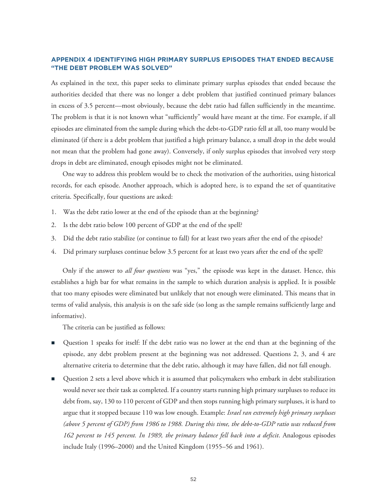# **APPENDIX 4 IDENTIFYING HIGH PRIMARY SURPLUS EPISODES THAT ENDED BECAUSE "THE DEBT PROBLEM WAS SOLVED"**

As explained in the text, this paper seeks to eliminate primary surplus episodes that ended because the authorities decided that there was no longer a debt problem that justified continued primary balances in excess of 3.5 percent—most obviously, because the debt ratio had fallen sufficiently in the meantime. The problem is that it is not known what "sufficiently" would have meant at the time. For example, if all episodes are eliminated from the sample during which the debt-to-GDP ratio fell at all, too many would be eliminated (if there is a debt problem that justified a high primary balance, a small drop in the debt would not mean that the problem had gone away). Conversely, if only surplus episodes that involved very steep drops in debt are eliminated, enough episodes might not be eliminated.

One way to address this problem would be to check the motivation of the authorities, using historical records, for each episode. Another approach, which is adopted here, is to expand the set of quantitative criteria. Specifically, four questions are asked:

- 1. Was the debt ratio lower at the end of the episode than at the beginning?
- 2. Is the debt ratio below 100 percent of GDP at the end of the spell?
- 3. Did the debt ratio stabilize (or continue to fall) for at least two years after the end of the episode?
- 4. Did primary surpluses continue below 3.5 percent for at least two years after the end of the spell?

Only if the answer to *all four questions* was "yes," the episode was kept in the dataset. Hence, this establishes a high bar for what remains in the sample to which duration analysis is applied. It is possible that too many episodes were eliminated but unlikely that not enough were eliminated. This means that in terms of valid analysis, this analysis is on the safe side (so long as the sample remains sufficiently large and informative).

The criteria can be justified as follows:

- Question 1 speaks for itself: If the debt ratio was no lower at the end than at the beginning of the episode, any debt problem present at the beginning was not addressed. Questions 2, 3, and 4 are alternative criteria to determine that the debt ratio, although it may have fallen, did not fall enough.
- Question 2 sets a level above which it is assumed that policymakers who embark in debt stabilization would never see their task as completed. If a country starts running high primary surpluses to reduce its debt from, say, 130 to 110 percent of GDP and then stops running high primary surpluses, it is hard to argue that it stopped because 110 was low enough. Example: *Israel ran extremely high primary surpluses (above 5 percent of GDP) from 1986 to 1988. During this time, the debt-to-GDP ratio was reduced from 162 percent to 145 percent. In 1989, the primary balance fell back into a deficit*. Analogous episodes include Italy (1996–2000) and the United Kingdom (1955–56 and 1961).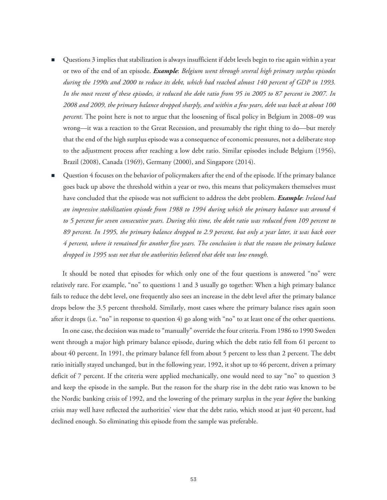- Questions 3 implies that stabilization is always insufficient if debt levels begin to rise again within a year or two of the end of an episode. *Example*: *Belgium went through several high primary surplus episodes during the 1990s and 2000 to reduce its debt, which had reached almost 140 percent of GDP in 1993. In the most recent of these episodes, it reduced the debt ratio from 95 in 2005 to 87 percent in 2007. In 2008 and 2009, the primary balance dropped sharply, and within a few years, debt was back at about 100 percent*. The point here is not to argue that the loosening of fiscal policy in Belgium in 2008–09 was wrong—it was a reaction to the Great Recession, and presumably the right thing to do—but merely that the end of the high surplus episode was a consequence of economic pressures, not a deliberate stop to the adjustment process after reaching a low debt ratio. Similar episodes include Belgium (1956), Brazil (2008), Canada (1969), Germany (2000), and Singapore (2014).
- Question 4 focuses on the behavior of policymakers after the end of the episode. If the primary balance goes back up above the threshold within a year or two, this means that policymakers themselves must have concluded that the episode was not sufficient to address the debt problem. *Example*: *Ireland had an impressive stabilization episode from 1988 to 1994 during which the primary balance was around 4 to 5 percent for seven consecutive years. During this time, the debt ratio was reduced from 109 percent to 89 percent. In 1995, the primary balance dropped to 2.9 percent, but only a year later, it was back over 4 percent, where it remained for another five years. The conclusion is that the reason the primary balance dropped in 1995 was not that the authorities believed that debt was low enough.*

It should be noted that episodes for which only one of the four questions is answered "no" were relatively rare. For example, "no" to questions 1 and 3 usually go together: When a high primary balance fails to reduce the debt level, one frequently also sees an increase in the debt level after the primary balance drops below the 3.5 percent threshold. Similarly, most cases where the primary balance rises again soon after it drops (i.e. "no" in response to question 4) go along with "no" to at least one of the other questions.

In one case, the decision was made to "manually" override the four criteria. From 1986 to 1990 Sweden went through a major high primary balance episode, during which the debt ratio fell from 61 percent to about 40 percent. In 1991, the primary balance fell from about 5 percent to less than 2 percent. The debt ratio initially stayed unchanged, but in the following year, 1992, it shot up to 46 percent, driven a primary deficit of 7 percent. If the criteria were applied mechanically, one would need to say "no" to question 3 and keep the episode in the sample. But the reason for the sharp rise in the debt ratio was known to be the Nordic banking crisis of 1992, and the lowering of the primary surplus in the year *before* the banking crisis may well have reflected the authorities' view that the debt ratio, which stood at just 40 percent, had declined enough. So eliminating this episode from the sample was preferable.